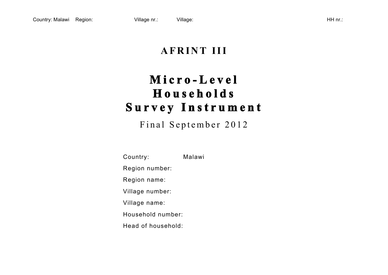# **AFRINT III**

# **Micro - Level Households Survey Instrument**

Final September 2012

Country: Malawi Region number: Region name: Village number: Village name: Household number: Head of household: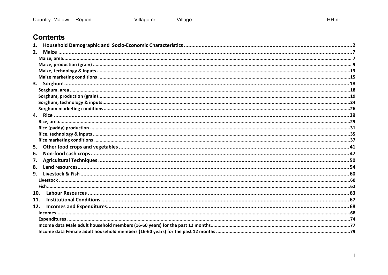## **Contents**

| 1.  |  |
|-----|--|
| 2.  |  |
|     |  |
|     |  |
|     |  |
|     |  |
|     |  |
|     |  |
|     |  |
|     |  |
|     |  |
|     |  |
|     |  |
|     |  |
|     |  |
|     |  |
| 5.  |  |
| 6.  |  |
| 7.  |  |
| 8.  |  |
| 9.  |  |
|     |  |
|     |  |
| 10. |  |
| 11. |  |
| 12. |  |
|     |  |
|     |  |
|     |  |
|     |  |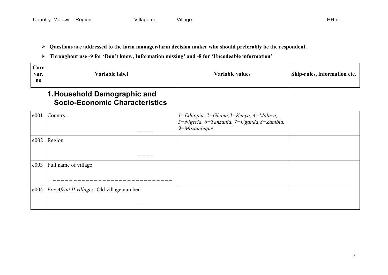- **Questions are addressed to the farm manager/farm decision maker who should preferably be the respondent.**
- **Throughout use -9 for 'Don't know, Information missing' and -8 for 'Uncodeable information'**

| Core<br>var.<br>no | Variable label | Variable values | Skip-rules, information etc. |
|--------------------|----------------|-----------------|------------------------------|
|--------------------|----------------|-----------------|------------------------------|

#### **1.Household Demographic and Socio-Economic Characteristics**

| e001 | Country                                            | 1=Ethiopia, 2=Ghana, 3=Kenya, 4=Malawi,<br>5=Nigeria, 6=Tanzania, 7=Uganda,8=Zambia,<br>$9 = Mozambique$ |  |
|------|----------------------------------------------------|----------------------------------------------------------------------------------------------------------|--|
| e002 | Region                                             |                                                                                                          |  |
| e003 | Full name of village                               |                                                                                                          |  |
|      | e004   For Afrint II villages: Old village number: |                                                                                                          |  |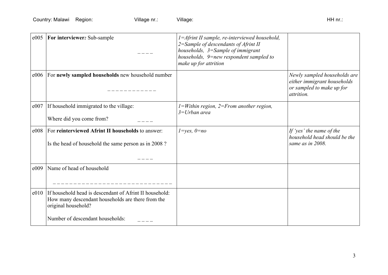| e005 | For interviewer: Sub-sample                                                                                                         | $1 =$ Afrint II sample, re-interviewed household,<br>2=Sample of descendants of Afrint II<br>households, 3=Sample of immigrant<br>households, $9$ =new respondent sampled to<br>make up for attrition |                                                                                                        |
|------|-------------------------------------------------------------------------------------------------------------------------------------|-------------------------------------------------------------------------------------------------------------------------------------------------------------------------------------------------------|--------------------------------------------------------------------------------------------------------|
| e006 | For newly sampled households new household number                                                                                   |                                                                                                                                                                                                       | Newly sampled households are<br>either immigrant households<br>or sampled to make up for<br>attrition. |
| e007 | If household immigrated to the village:                                                                                             | $1 = Within region, 2 = From another region,$<br>$3=U$ rban area                                                                                                                                      |                                                                                                        |
|      | Where did you come from?                                                                                                            |                                                                                                                                                                                                       |                                                                                                        |
| e008 | For reinterviewed Afrint II households to answer:<br>Is the head of household the same person as in 2008?                           | $1 = yes, 0 = no$                                                                                                                                                                                     | If 'yes' the name of the<br>household head should be the<br>same as in 2008.                           |
| e009 | Name of head of household                                                                                                           |                                                                                                                                                                                                       |                                                                                                        |
| e010 | If household head is descendant of Afrint II household:<br>How many descendant households are there from the<br>original household? |                                                                                                                                                                                                       |                                                                                                        |
|      | Number of descendant households:                                                                                                    |                                                                                                                                                                                                       |                                                                                                        |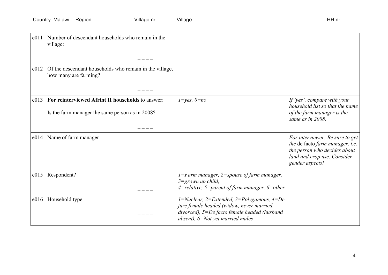| e011 | Number of descendant households who remain in the<br>village:                                        |                                                                                                                                                                                                   |                                                                                                                                                      |
|------|------------------------------------------------------------------------------------------------------|---------------------------------------------------------------------------------------------------------------------------------------------------------------------------------------------------|------------------------------------------------------------------------------------------------------------------------------------------------------|
| e012 | Of the descendant households who remain in the village,<br>how many are farming?                     |                                                                                                                                                                                                   |                                                                                                                                                      |
| e013 | For reinterviewed Afrint II households to answer:<br>Is the farm manager the same person as in 2008? | $1 = yes, 0 = no$                                                                                                                                                                                 | If 'yes', compare with your<br>household list so that the name<br>of the farm manager is the<br>same as in 2008.                                     |
| e014 | Name of farm manager                                                                                 |                                                                                                                                                                                                   | For interviewer: Be sure to get<br>the de facto farm manager, i.e.<br>the person who decides about<br>land and crop use. Consider<br>gender aspects! |
| e015 | Respondent?                                                                                          | $1 = Farm$ manager, $2 =$ spouse of farm manager,<br>$3 =$ grown up child,<br>$4$ =relative, 5=parent of farm manager, 6=other                                                                    |                                                                                                                                                      |
| e016 | Household type                                                                                       | $1 = Nuclear$ , $2 = Extended$ , $3 = Polygamous$ , $4 = De$<br>jure female headed (widow, never married,<br>divorced), 5=De facto female headed (husband<br>absent), $6 = Not$ yet married males |                                                                                                                                                      |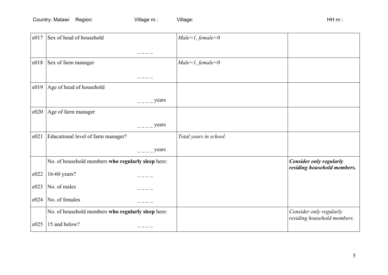| e017 | Sex of head of household                           |             | $Male=1, female=0$     |                                                               |
|------|----------------------------------------------------|-------------|------------------------|---------------------------------------------------------------|
|      |                                                    |             |                        |                                                               |
| e018 | Sex of farm manager                                |             | $Male=1, female=0$     |                                                               |
|      |                                                    |             |                        |                                                               |
| e019 | Age of head of household                           |             |                        |                                                               |
|      |                                                    | $  -$ years |                        |                                                               |
| e020 | Age of farm manager                                |             |                        |                                                               |
|      |                                                    | years       |                        |                                                               |
| e021 | Educational level of farm manager?                 |             | Total years in school. |                                                               |
|      |                                                    | years       |                        |                                                               |
|      | No. of household members who regularly sleep here: |             |                        | <b>Consider only regularly</b><br>residing household members. |
| e022 | 16-60 years?                                       |             |                        |                                                               |
| e023 | No. of males                                       |             |                        |                                                               |
| e024 | No. of females                                     |             |                        |                                                               |
|      | No. of household members who regularly sleep here: |             |                        | Consider only regularly<br>residing household members.        |
| e025 | 15 and below?                                      |             |                        |                                                               |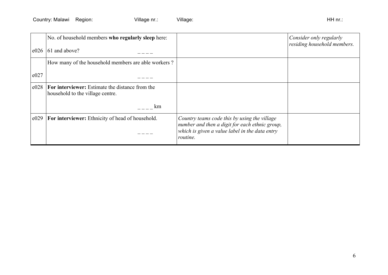| No. of household members who regularly sleep here:                                         |                                                                                                                                                              | Consider only regularly<br>residing household members. |
|--------------------------------------------------------------------------------------------|--------------------------------------------------------------------------------------------------------------------------------------------------------------|--------------------------------------------------------|
|                                                                                            |                                                                                                                                                              |                                                        |
| How many of the household members are able workers?                                        |                                                                                                                                                              |                                                        |
|                                                                                            |                                                                                                                                                              |                                                        |
| <b>For interviewer:</b> Estimate the distance from the<br>household to the village centre. |                                                                                                                                                              |                                                        |
| km                                                                                         |                                                                                                                                                              |                                                        |
| <b>For interviewer:</b> Ethnicity of head of household.                                    | Country teams code this by using the village<br>number and then a digit for each ethnic group,<br>which is given a value label in the data entry<br>routine. |                                                        |
|                                                                                            | 61 and above?                                                                                                                                                |                                                        |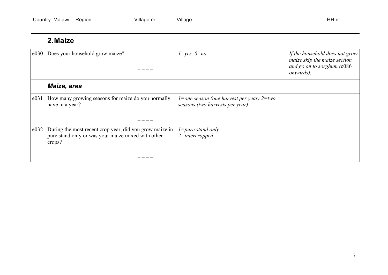## **2.Maize**

| e030 | Does your household grow maize?                                                                                         | $1 = yes, 0 = no$                                                                        | If the household does not grow<br>maize skip the maize section<br>and go on to sorghum (e086<br><i>onwards</i> ). |
|------|-------------------------------------------------------------------------------------------------------------------------|------------------------------------------------------------------------------------------|-------------------------------------------------------------------------------------------------------------------|
|      | Maize, area                                                                                                             |                                                                                          |                                                                                                                   |
| e031 | How many growing seasons for maize do you normally<br>have in a year?                                                   | <i>l</i> =one season (one harvest per year) $2 = two$<br>seasons (two harvests per year) |                                                                                                                   |
| e032 | During the most recent crop year, did you grow maize in<br>pure stand only or was your maize mixed with other<br>crops? | $l = pure$ stand only<br>$2$ =intercropped                                               |                                                                                                                   |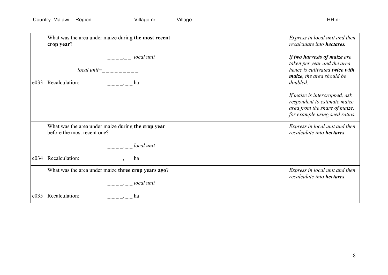|      | What was the area under maize during the most recent<br>crop year?                                                                                                                                                                                                                                                                                                                 | Express in local unit and then<br>recalculate into hectares.                                                                           |
|------|------------------------------------------------------------------------------------------------------------------------------------------------------------------------------------------------------------------------------------------------------------------------------------------------------------------------------------------------------------------------------------|----------------------------------------------------------------------------------------------------------------------------------------|
| e033 | $--- - - -$ local unit<br>$local\ unit$ =<br>Recalculation:<br>$\frac{1}{2}$ $\frac{1}{2}$ $\frac{1}{2}$ $\frac{1}{2}$ $\frac{1}{2}$ $\frac{1}{2}$ $\frac{1}{2}$ $\frac{1}{2}$ $\frac{1}{2}$ $\frac{1}{2}$ $\frac{1}{2}$ $\frac{1}{2}$ $\frac{1}{2}$ $\frac{1}{2}$ $\frac{1}{2}$ $\frac{1}{2}$ $\frac{1}{2}$ $\frac{1}{2}$ $\frac{1}{2}$ $\frac{1}{2}$ $\frac{1}{2}$ $\frac{1}{2}$ | If two harvests of maize are<br>taken per year and the area<br>hence is cultivated twice with<br>maize, the area should be<br>doubled. |
|      |                                                                                                                                                                                                                                                                                                                                                                                    | If maize is intercropped, ask<br>respondent to estimate maize<br>area from the share of maize,<br>for example using seed ratios.       |
|      | What was the area under maize during the crop year<br>before the most recent one?                                                                                                                                                                                                                                                                                                  | Express in local unit and then<br>recalculate into hectares.                                                                           |
|      | $\frac{1}{2}$ $\frac{1}{2}$ $\frac{1}{2}$ $\frac{1}{2}$ $\frac{1}{2}$ $\frac{1}{2}$ $\frac{1}{2}$ $\frac{1}{2}$ $\frac{1}{2}$ $\frac{1}{2}$ $\frac{1}{2}$ $\frac{1}{2}$ $\frac{1}{2}$ $\frac{1}{2}$ $\frac{1}{2}$ $\frac{1}{2}$ $\frac{1}{2}$ $\frac{1}{2}$ $\frac{1}{2}$ $\frac{1}{2}$ $\frac{1}{2}$ $\frac{1}{2}$                                                                |                                                                                                                                        |
| e034 | Recalculation:<br>, ha                                                                                                                                                                                                                                                                                                                                                             |                                                                                                                                        |
|      | What was the area under maize three crop years ago?                                                                                                                                                                                                                                                                                                                                | Express in local unit and then<br>recalculate into hectares.                                                                           |
|      | $--- - -$ local unit                                                                                                                                                                                                                                                                                                                                                               |                                                                                                                                        |
| e035 | Recalculation:<br>ha<br>$\frac{1}{2} - \frac{1}{2} - \frac{1}{2} = -$                                                                                                                                                                                                                                                                                                              |                                                                                                                                        |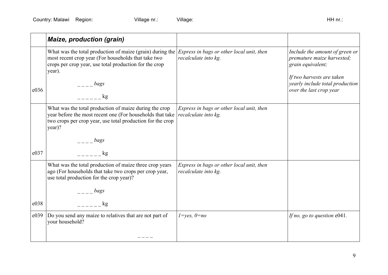|      | <b>Maize, production (grain)</b>                                                                                                                                                            |                                                                   |                                                                                         |
|------|---------------------------------------------------------------------------------------------------------------------------------------------------------------------------------------------|-------------------------------------------------------------------|-----------------------------------------------------------------------------------------|
|      | What was the total production of maize (grain) during the<br>most recent crop year (For households that take two<br>crops per crop year, use total production for the crop<br>year).        | Express in bags or other local unit, then<br>recalculate into kg. | Include the amount of green or<br>premature maize harvested;<br>grain equivalent;       |
| e036 | bags<br>kg                                                                                                                                                                                  |                                                                   | If two harvests are taken<br>yearly include total production<br>over the last crop year |
|      | What was the total production of maize during the crop<br>year before the most recent one (For households that take<br>two crops per crop year, use total production for the crop<br>year)? | Express in bags or other local unit, then<br>recalculate into kg. |                                                                                         |
|      | bags                                                                                                                                                                                        |                                                                   |                                                                                         |
| e037 | kg                                                                                                                                                                                          |                                                                   |                                                                                         |
|      | What was the total production of maize three crop years<br>ago (For households that take two crops per crop year,<br>use total production for the crop year)?                               | Express in bags or other local unit, then<br>recalculate into kg. |                                                                                         |
|      | bags                                                                                                                                                                                        |                                                                   |                                                                                         |
| e038 | $k_{\mathcal{Q}}$                                                                                                                                                                           |                                                                   |                                                                                         |
| e039 | Do you send any maize to relatives that are not part of<br>your household?                                                                                                                  | $1 = yes, 0 = no$                                                 | If no, go to question $e041$ .                                                          |
|      |                                                                                                                                                                                             |                                                                   |                                                                                         |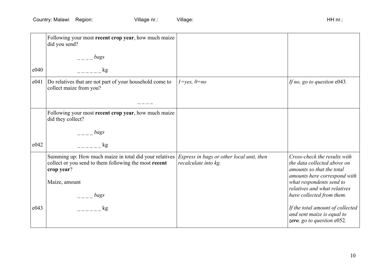|      | Following your most recent crop year, how much maize<br>did you send?                                                                                                          |                      |                                                                                                                          |
|------|--------------------------------------------------------------------------------------------------------------------------------------------------------------------------------|----------------------|--------------------------------------------------------------------------------------------------------------------------|
|      | bags                                                                                                                                                                           |                      |                                                                                                                          |
| e040 | kg                                                                                                                                                                             |                      |                                                                                                                          |
| e041 | Do relatives that are not part of your household come to<br>collect maize from you?                                                                                            | $1 = yes, 0 = no$    | If no, go to question e043.                                                                                              |
|      |                                                                                                                                                                                |                      |                                                                                                                          |
|      | Following your most recent crop year, how much maize<br>did they collect?                                                                                                      |                      |                                                                                                                          |
|      | bags                                                                                                                                                                           |                      |                                                                                                                          |
| e042 | $\mathbf{kg}$                                                                                                                                                                  |                      |                                                                                                                          |
|      | Summing up: How much maize in total did your relatives <i>Express in bags or other local unit, then</i><br>collect or you send to them following the most recent<br>crop year? | recalculate into kg. | Cross-check the results with<br>the data collected above on<br>amounts so that the total<br>amounts here correspond with |
|      | Maize, amount<br>bags                                                                                                                                                          |                      | what respondents send to<br>relatives and what relatives<br>have collected from them.                                    |
| e043 | $k$ g                                                                                                                                                                          |                      | If the total amount of collected<br>and sent maize is equal to<br>zero, go to question e052.                             |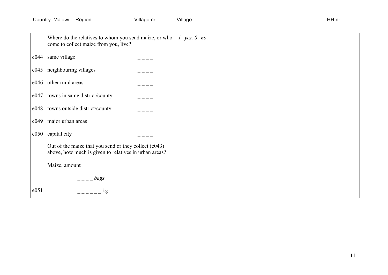|      | Where do the relatives to whom you send maize, or who<br>come to collect maize from you, live?                 | $1 = yes, 0 = no$ |  |
|------|----------------------------------------------------------------------------------------------------------------|-------------------|--|
| e044 | same village                                                                                                   |                   |  |
| e045 | neighbouring villages                                                                                          |                   |  |
| e046 | other rural areas                                                                                              |                   |  |
| e047 | towns in same district/county                                                                                  |                   |  |
| e048 | towns outside district/county                                                                                  |                   |  |
| e049 | major urban areas                                                                                              |                   |  |
| e050 | capital city                                                                                                   |                   |  |
|      | Out of the maize that you send or they collect (e043)<br>above, how much is given to relatives in urban areas? |                   |  |
|      | Maize, amount                                                                                                  |                   |  |
|      | bags                                                                                                           |                   |  |
| e051 | kg                                                                                                             |                   |  |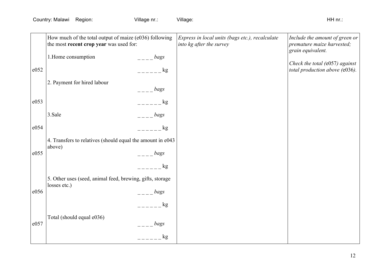|      | How much of the total output of maize (e036) following<br>the most recent crop year was used for: |                               | Express in local units (bags etc.), recalculate<br>into kg after the survey | Include the amount of green or<br>premature maize harvested;<br>grain equivalent. |
|------|---------------------------------------------------------------------------------------------------|-------------------------------|-----------------------------------------------------------------------------|-----------------------------------------------------------------------------------|
|      | 1. Home consumption                                                                               | bags                          |                                                                             |                                                                                   |
| e052 |                                                                                                   | $\log$                        |                                                                             | Check the total $(e057)$ against<br>total production above (e036).                |
|      | 2. Payment for hired labour                                                                       | bags                          |                                                                             |                                                                                   |
| e053 |                                                                                                   | kg                            |                                                                             |                                                                                   |
|      | 3.Sale                                                                                            | bags                          |                                                                             |                                                                                   |
| e054 |                                                                                                   | kg                            |                                                                             |                                                                                   |
|      | 4. Transfers to relatives (should equal the amount in e043<br>above)                              |                               |                                                                             |                                                                                   |
| e055 |                                                                                                   | bags                          |                                                                             |                                                                                   |
|      |                                                                                                   | kg                            |                                                                             |                                                                                   |
|      | 5. Other uses (seed, animal feed, brewing, gifts, storage<br>losses etc.)                         |                               |                                                                             |                                                                                   |
| e056 |                                                                                                   | bags                          |                                                                             |                                                                                   |
|      |                                                                                                   | kg                            |                                                                             |                                                                                   |
| e057 | Total (should equal e036)                                                                         |                               |                                                                             |                                                                                   |
|      |                                                                                                   | bags                          |                                                                             |                                                                                   |
|      |                                                                                                   | kg<br>$\pm$ $\pm$ $\pm$ $\pm$ |                                                                             |                                                                                   |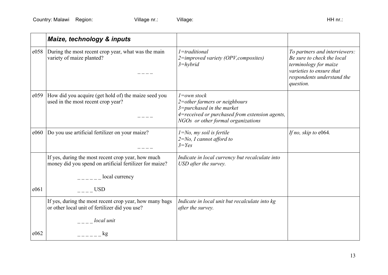|      | Maize, technology & inputs                                                                                                                                                                                                                                                                                          |                                                                                                                                                                            |                                                                                                                                                             |
|------|---------------------------------------------------------------------------------------------------------------------------------------------------------------------------------------------------------------------------------------------------------------------------------------------------------------------|----------------------------------------------------------------------------------------------------------------------------------------------------------------------------|-------------------------------------------------------------------------------------------------------------------------------------------------------------|
| e058 | During the most recent crop year, what was the main<br>variety of maize planted?                                                                                                                                                                                                                                    | $1 =$ traditional<br>$2 =$ improved variety (OPV, composites)<br>$3 = hybrid$                                                                                              | To partners and interviewers:<br>Be sure to check the local<br>terminology for maize<br>varieties to ensure that<br>respondents understand the<br>question. |
| e059 | How did you acquire (get hold of) the maize seed you<br>used in the most recent crop year?                                                                                                                                                                                                                          | $1 = own stock$<br>2=other farmers or neighbours<br>$3 = pure$ hased in the market<br>4=received or purchased from extension agents,<br>NGOs or other formal organizations |                                                                                                                                                             |
| e060 | Do you use artificial fertilizer on your maize?                                                                                                                                                                                                                                                                     | $1 = No$ , my soil is fertile<br>$2 = No$ , I cannot afford to<br>$3 = Yes$                                                                                                | If no, skip to e064.                                                                                                                                        |
|      | If yes, during the most recent crop year, how much<br>money did you spend on artificial fertilizer for maize?<br>local currency                                                                                                                                                                                     | Indicate in local currency but recalculate into<br>USD after the survey.                                                                                                   |                                                                                                                                                             |
| e061 | USD                                                                                                                                                                                                                                                                                                                 |                                                                                                                                                                            |                                                                                                                                                             |
|      | If yes, during the most recent crop year, how many bags<br>or other local unit of fertilizer did you use?                                                                                                                                                                                                           | Indicate in local unit but recalculate into kg<br>after the survey.                                                                                                        |                                                                                                                                                             |
|      | $\frac{1}{1}$ = $\frac{1}{1}$ local unit                                                                                                                                                                                                                                                                            |                                                                                                                                                                            |                                                                                                                                                             |
| e062 | $\frac{1}{2}$ $\frac{1}{2}$ $\frac{1}{2}$ $\frac{1}{2}$ $\frac{1}{2}$ $\frac{1}{2}$ $\frac{1}{2}$ $\frac{1}{2}$ $\frac{1}{2}$ $\frac{1}{2}$ $\frac{1}{2}$ $\frac{1}{2}$ $\frac{1}{2}$ $\frac{1}{2}$ $\frac{1}{2}$ $\frac{1}{2}$ $\frac{1}{2}$ $\frac{1}{2}$ $\frac{1}{2}$ $\frac{1}{2}$ $\frac{1}{2}$ $\frac{1}{2}$ |                                                                                                                                                                            |                                                                                                                                                             |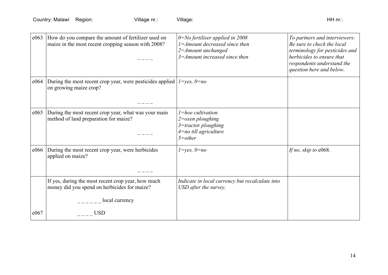| e063 | How do you compare the amount of fertilizer used on<br>maize in the most recent cropping season with 2008? | $0 = No$ fertiliser applied in 2008<br>$1 = A$ mount decreased since then<br>$2 = A$ mount unchanged<br>$3 =$ Amount increased since then | To partners and interviewers:<br>Be sure to check the local<br>terminology for pesticides and<br>herbicides to ensure that<br>respondents understand the<br>question here and below. |
|------|------------------------------------------------------------------------------------------------------------|-------------------------------------------------------------------------------------------------------------------------------------------|--------------------------------------------------------------------------------------------------------------------------------------------------------------------------------------|
| e064 | During the most recent crop year, were pesticides applied $1 = yes$ , $0 = no$<br>on growing maize crop?   |                                                                                                                                           |                                                                                                                                                                                      |
| e065 | During the most recent crop year, what was your main<br>method of land preparation for maize?              | $l = hoe$ cultivation<br>$2$ = $\alpha$ xen ploughing<br>$3 =$ tractor ploughing<br>$4$ =no till agriculture<br>$5$ =other                |                                                                                                                                                                                      |
| e066 | During the most recent crop year, were herbicides<br>applied on maize?                                     | $1 = yes, 0 = no$                                                                                                                         | If no, skip to e068.                                                                                                                                                                 |
|      | If yes, during the most recent crop year, how much<br>money did you spend on herbicides for maize?         | Indicate in local currency but recalculate into<br>USD after the survey.                                                                  |                                                                                                                                                                                      |
|      | $\frac{1}{2}$ = $\frac{1}{2}$ local currency                                                               |                                                                                                                                           |                                                                                                                                                                                      |
| e067 | <b>USD</b>                                                                                                 |                                                                                                                                           |                                                                                                                                                                                      |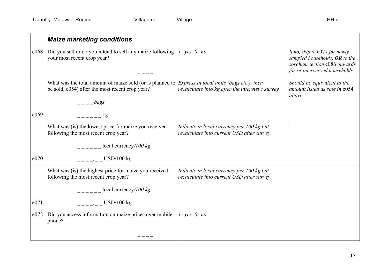|      | <b>Maize marketing conditions</b>                                                                                                                    |                                                                                            |                                                                                                                                    |
|------|------------------------------------------------------------------------------------------------------------------------------------------------------|--------------------------------------------------------------------------------------------|------------------------------------------------------------------------------------------------------------------------------------|
| e068 | Did you sell or do you intend to sell any maize following<br>your most recent crop year?                                                             | $1 = yes, 0 = no$                                                                          | If no, skip to $e077$ for newly<br>sampled households, OR to the<br>sorghum section e086 onwards<br>for re-interviewed households. |
|      | What was the total amount of maize sold (or is planned to<br>be sold, e054) after the most recent crop year?<br>$\frac{1}{1-2}$ bags                 | Express in local units (bags etc.), then<br>recalculate into kg after the interview/survey | Should be equivalent to the<br>amount listed as sale in e054<br>above.                                                             |
| e069 | $\mathbf{kg}$                                                                                                                                        |                                                                                            |                                                                                                                                    |
|      | What was (is) the lowest price for maize you received<br>following the most recent crop year?<br>$\frac{1}{2}$ = $\frac{1}{2}$ local currency/100 kg | Indicate in local currency per 100 kg but<br>recalculate into current USD after survey.    |                                                                                                                                    |
| e070 | $--- - -$ USD/100 kg                                                                                                                                 |                                                                                            |                                                                                                                                    |
|      | What was (is) the highest price for maize you received<br>following the most recent crop year?                                                       | Indicate in local currency per 100 kg but<br>recalculate into current USD after survey.    |                                                                                                                                    |
|      | $\frac{1}{2}$ = $\frac{1}{2}$ = $\frac{1}{2}$ local currency/100 kg                                                                                  |                                                                                            |                                                                                                                                    |
| e071 | $-- -- ---$ USD/100 kg                                                                                                                               |                                                                                            |                                                                                                                                    |
| e072 | Did you access information on maize prices over mobile<br>phone?                                                                                     | $1 = yes, 0 = no$                                                                          |                                                                                                                                    |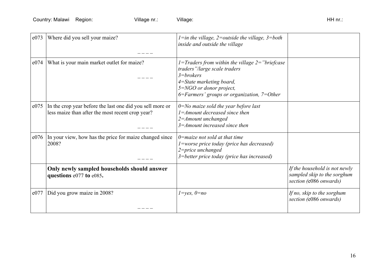| e073 | Where did you sell your maize?                                                                                | $l = in$ the village, 2=outside the village, 3=both<br>inside and outside the village                                                                                                                       |                                                                                        |
|------|---------------------------------------------------------------------------------------------------------------|-------------------------------------------------------------------------------------------------------------------------------------------------------------------------------------------------------------|----------------------------------------------------------------------------------------|
| e074 | What is your main market outlet for maize?                                                                    | 1=Traders from within the village $2$ ="briefcase"<br>traders"/large scale traders<br>$3 = brokers$<br>4=State marketing board,<br>5=NGO or donor project,<br>$6$ =Farmers' groups or organization, 7=Other |                                                                                        |
| e075 | In the crop year before the last one did you sell more or<br>less maize than after the most recent crop year? | $0 = No$ maize sold the year before last<br>$l = A$ mount decreased since then<br>$2 = A$ mount unchanged<br>$3 =$ Amount increased since then                                                              |                                                                                        |
| e076 | In your view, how has the price for maize changed since<br>2008?                                              | $0$ =maize not sold at that time<br>$1$ =worse price today (price has decreased)<br>2=price unchanged<br>3=better price today (price has increased)                                                         |                                                                                        |
|      | Only newly sampled households should answer<br>questions e077 to e085.                                        |                                                                                                                                                                                                             | If the household is not newly<br>sampled skip to the sorghum<br>section (e086 onwards) |
| e077 | Did you grow maize in 2008?                                                                                   | $1 = yes, 0 = no$                                                                                                                                                                                           | If no, skip to the sorghum<br>section (e086 onwards)                                   |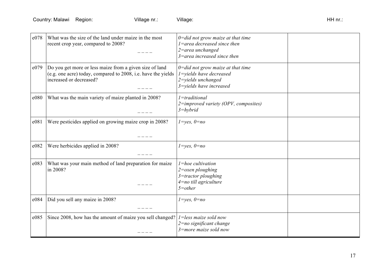| e078 | What was the size of the land under maize in the most<br>recent crop year, compared to 2008?                                                        | $0 = did not grow maize at that time$<br>$1 =$ area decreased since then<br>$2$ =area unchanged<br>$3$ =area increased since then |  |
|------|-----------------------------------------------------------------------------------------------------------------------------------------------------|-----------------------------------------------------------------------------------------------------------------------------------|--|
| e079 | Do you get more or less maize from a given size of land<br>(e.g. one acre) today, compared to 2008, i.e. have the yields<br>increased or decreased? | $0 = did not grow maize at that time$<br>$1 =$ vields have decreased<br>$2 = yields$ unchanged<br>3=yields have increased         |  |
| e080 | What was the main variety of maize planted in 2008?                                                                                                 | $1 = traditional$<br>2=improved variety (OPV, composites)<br>$3 = hybrid$                                                         |  |
| e081 | Were pesticides applied on growing maize crop in 2008?                                                                                              | $1 = yes, 0 = no$                                                                                                                 |  |
| e082 | Were herbicides applied in 2008?                                                                                                                    | $1 = yes, 0 = no$                                                                                                                 |  |
| e083 | What was your main method of land preparation for maize<br>in 2008?                                                                                 | $l = hoe$ cultivation<br>$2$ = $o$ xen ploughing<br>$3 =$ tractor ploughing<br>$4$ =no till agriculture<br>$5$ = $other$          |  |
| e084 | Did you sell any maize in 2008?                                                                                                                     | $1 = yes, 0 = no$                                                                                                                 |  |
| e085 | Since 2008, how has the amount of maize you sell changed?                                                                                           | $1 =$ less maize sold now<br>2=no significant change<br>$3$ =more maize sold now                                                  |  |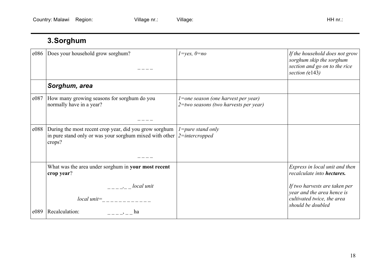# **3.Sorghum**

| e086 | Does your household grow sorghum?                                                                                                                              | $1 = yes, 0 = no$                                                                    | If the household does not grow<br>sorghum skip the sorghum<br>section and go on to the rice<br>section (e143)  |
|------|----------------------------------------------------------------------------------------------------------------------------------------------------------------|--------------------------------------------------------------------------------------|----------------------------------------------------------------------------------------------------------------|
|      | Sorghum, area                                                                                                                                                  |                                                                                      |                                                                                                                |
| e087 | How many growing seasons for sorghum do you<br>normally have in a year?                                                                                        | $l =$ one season (one harvest per year)<br>$2 = two$ seasons (two harvests per year) |                                                                                                                |
| e088 | During the most recent crop year, did you grow sorghum<br>in pure stand only or was your sorghum mixed with other $\frac{2 = \text{intercroped}}{2}$<br>crops? | $l = pure$ stand only                                                                |                                                                                                                |
|      | What was the area under sorghum in your most recent<br>crop year?                                                                                              |                                                                                      | Express in local unit and then<br>recalculate into <b>hectares</b> .                                           |
| e089 | $--- - -$ local unit<br>$local unit =$ $------$<br>Recalculation:<br>ha                                                                                        |                                                                                      | If two harvests are taken per<br>year and the area hence is<br>cultivated twice, the area<br>should be doubled |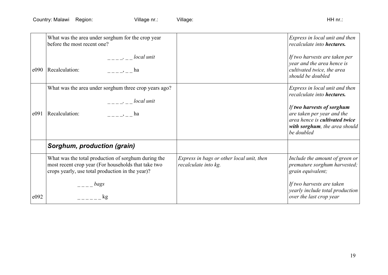|      | What was the area under sorghum for the crop year<br>before the most recent one?                                                                               |                                                                   | Express in local unit and then<br>recalculate into hectares.                                                                                                                                              |
|------|----------------------------------------------------------------------------------------------------------------------------------------------------------------|-------------------------------------------------------------------|-----------------------------------------------------------------------------------------------------------------------------------------------------------------------------------------------------------|
| e090 | $-- ---$ local unit<br>Recalculation:<br>$\frac{1}{2}$ , ha                                                                                                    |                                                                   | If two harvests are taken per<br>year and the area hence is<br>cultivated twice, the area<br>should be doubled                                                                                            |
| e091 | What was the area under sorghum three crop years ago?<br>$-- ---$ local unit<br>Recalculation:<br>ha ba                                                        |                                                                   | Express in local unit and then<br>recalculate into hectares.<br>If two harvests of sorghum<br>are taken per year and the<br>area hence is cultivated twice<br>with sorghum, the area should<br>be doubled |
|      | Sorghum, production (grain)                                                                                                                                    |                                                                   |                                                                                                                                                                                                           |
|      | What was the total production of sorghum during the<br>most recent crop year (For households that take two<br>crops yearly, use total production in the year)? | Express in bags or other local unit, then<br>recalculate into kg. | Include the amount of green or<br>premature sorghum harvested;<br>grain equivalent;                                                                                                                       |
| e092 | bags<br>$\mathbf{kg}$                                                                                                                                          |                                                                   | If two harvests are taken<br>yearly include total production                                                                                                                                              |
|      |                                                                                                                                                                |                                                                   | over the last crop year                                                                                                                                                                                   |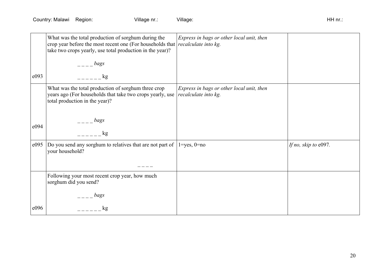|      | What was the total production of sorghum during the<br>crop year before the most recent one (For households that<br>take two crops yearly, use total production in the year)?<br>bags | Express in bags or other local unit, then<br>recalculate into kg. |                      |
|------|---------------------------------------------------------------------------------------------------------------------------------------------------------------------------------------|-------------------------------------------------------------------|----------------------|
| e093 | kg                                                                                                                                                                                    |                                                                   |                      |
|      | What was the total production of sorghum three crop<br>years ago (For households that take two crops yearly, use<br>total production in the year)?                                    | Express in bags or other local unit, then<br>recalculate into kg. |                      |
|      | bags                                                                                                                                                                                  |                                                                   |                      |
| e094 | kg                                                                                                                                                                                    |                                                                   |                      |
| e095 | Do you send any sorghum to relatives that are not part of<br>your household?                                                                                                          | $1 = yes$ , $0 = no$                                              | If no, skip to e097. |
|      | Following your most recent crop year, how much<br>sorghum did you send?                                                                                                               |                                                                   |                      |
|      | bags                                                                                                                                                                                  |                                                                   |                      |
| e096 | kg                                                                                                                                                                                    |                                                                   |                      |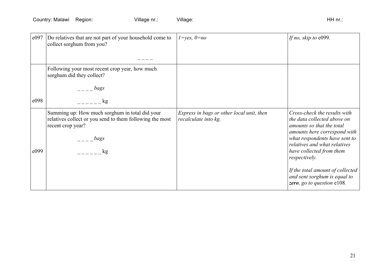| e097 | Do relatives that are not part of your household come to<br>collect sorghum from you?                                           | $1 = yes, 0 = no$                                                 | If no, skip to e099.                                                                                                     |
|------|---------------------------------------------------------------------------------------------------------------------------------|-------------------------------------------------------------------|--------------------------------------------------------------------------------------------------------------------------|
|      |                                                                                                                                 |                                                                   |                                                                                                                          |
|      | Following your most recent crop year, how much<br>sorghum did they collect?                                                     |                                                                   |                                                                                                                          |
|      | bags                                                                                                                            |                                                                   |                                                                                                                          |
| e098 | kg                                                                                                                              |                                                                   |                                                                                                                          |
|      | Summing up: How much sorghum in total did your<br>relatives collect or you send to them following the most<br>recent crop year? | Express in bags or other local unit, then<br>recalculate into kg. | Cross-check the results with<br>the data collected above on<br>amounts so that the total<br>amounts here correspond with |
|      | bags                                                                                                                            |                                                                   | what respondents have sent to<br>relatives and what relatives                                                            |
| e099 | $\log$                                                                                                                          |                                                                   | have collected from them<br>respectively.                                                                                |
|      |                                                                                                                                 |                                                                   | If the total amount of collected<br>and sent sorghum is equal to<br>zero, go to question e108.                           |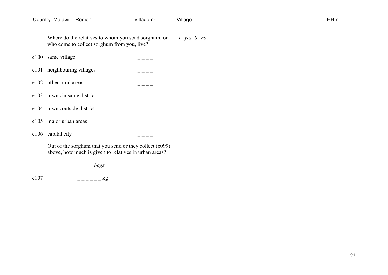|      | Where do the relatives to whom you send sorghum, or<br>who come to collect sorghum from you, live?               | $1 = yes, 0 = no$ |  |
|------|------------------------------------------------------------------------------------------------------------------|-------------------|--|
| e100 | same village                                                                                                     |                   |  |
| e101 | neighbouring villages                                                                                            |                   |  |
| e102 | other rural areas                                                                                                |                   |  |
| e103 | towns in same district                                                                                           |                   |  |
| e104 | towns outside district                                                                                           |                   |  |
| e105 | major urban areas                                                                                                |                   |  |
| e106 | capital city                                                                                                     |                   |  |
|      | Out of the sorghum that you send or they collect (e099)<br>above, how much is given to relatives in urban areas? |                   |  |
|      | bags                                                                                                             |                   |  |
| e107 | kg                                                                                                               |                   |  |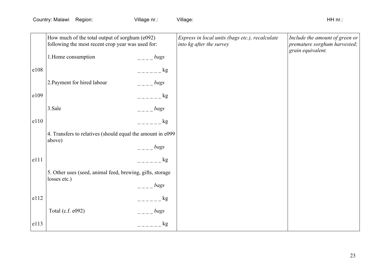|      | How much of the total output of sorghum (e092)<br>following the most recent crop year was used for: |                                    | Express in local units (bags etc.), recalculate<br>into kg after the survey | Include the amount of green or<br>premature sorghum harvested;<br>grain equivalent. |
|------|-----------------------------------------------------------------------------------------------------|------------------------------------|-----------------------------------------------------------------------------|-------------------------------------------------------------------------------------|
|      | 1. Home consumption                                                                                 | bags                               |                                                                             |                                                                                     |
| e108 |                                                                                                     | $    \frac{1}{2}$                  |                                                                             |                                                                                     |
|      | 2. Payment for hired labour                                                                         | bags                               |                                                                             |                                                                                     |
| e109 |                                                                                                     | $---$ kg                           |                                                                             |                                                                                     |
|      | 3.Sale                                                                                              | bags                               |                                                                             |                                                                                     |
| e110 |                                                                                                     | $ \&$ 8                            |                                                                             |                                                                                     |
|      | 4. Transfers to relatives (should equal the amount in e099<br>above)                                |                                    |                                                                             |                                                                                     |
|      |                                                                                                     | $\frac{1}{2}$ – $\frac{1}{2}$ bags |                                                                             |                                                                                     |
| e111 |                                                                                                     | $\log$                             |                                                                             |                                                                                     |
|      | 5. Other uses (seed, animal feed, brewing, gifts, storage                                           |                                    |                                                                             |                                                                                     |
|      | losses etc.)                                                                                        | bags                               |                                                                             |                                                                                     |
| e112 |                                                                                                     | $=    \log$                        |                                                                             |                                                                                     |
|      | Total (c.f. e092)                                                                                   | bags                               |                                                                             |                                                                                     |
| e113 |                                                                                                     | $=     \frac{1}{2}$                |                                                                             |                                                                                     |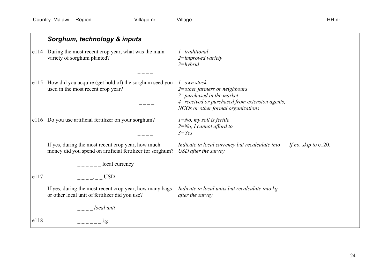|      | Sorghum, technology & inputs                                                                                                      |                                                                                                                                                                            |                         |
|------|-----------------------------------------------------------------------------------------------------------------------------------|----------------------------------------------------------------------------------------------------------------------------------------------------------------------------|-------------------------|
|      | e114 During the most recent crop year, what was the main<br>variety of sorghum planted?                                           | $1 =$ traditional<br>$2 =$ improved variety<br>$3 = hybrid$                                                                                                                |                         |
| e115 | How did you acquire (get hold of) the sorghum seed you<br>used in the most recent crop year?                                      | $l = own stock$<br>2=other farmers or neighbours<br>$3 = pure$ hased in the market<br>4=received or purchased from extension agents,<br>NGOs or other formal organizations |                         |
| e116 | Do you use artificial fertilizer on your sorghum?                                                                                 | $1 = No$ , my soil is fertile<br>$2 = No$ , I cannot afford to<br>$3 = Yes$                                                                                                |                         |
|      | If yes, during the most recent crop year, how much<br>money did you spend on artificial fertilizer for sorghum?<br>local currency | Indicate in local currency but recalculate into<br>USD after the survey                                                                                                    | If no, skip to $e120$ . |
| e117 | $--- -$ USD                                                                                                                       |                                                                                                                                                                            |                         |
|      | If yes, during the most recent crop year, how many bags<br>or other local unit of fertilizer did you use?                         | Indicate in local units but recalculate into kg<br>after the survey                                                                                                        |                         |
|      | local unit                                                                                                                        |                                                                                                                                                                            |                         |
| e118 | kg                                                                                                                                |                                                                                                                                                                            |                         |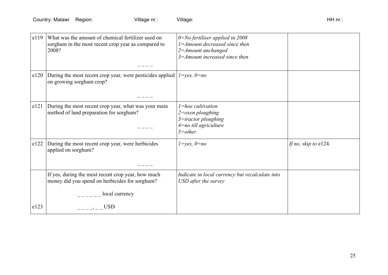| e119 | What was the amount of chemical fertilizer used on<br>sorghum in the most recent crop year as compared to<br>2008? | $0 = No$ fertiliser applied in 2008<br>$1 =$ Amount decreased since then<br>$2 = A$ mount unchanged<br>$3 =$ Amount increased since then |                      |
|------|--------------------------------------------------------------------------------------------------------------------|------------------------------------------------------------------------------------------------------------------------------------------|----------------------|
| e120 | During the most recent crop year, were pesticides applied<br>on growing sorghum crop?                              | $1 = yes, 0 = no$                                                                                                                        |                      |
| e121 | During the most recent crop year, what was your main<br>method of land preparation for sorghum?                    | $l = hoe$ cultivation<br>$2$ = $\alpha$ xen ploughing<br>$3 =$ tractor ploughing<br>$4$ =no till agriculture<br>$5$ =other               |                      |
| e122 | During the most recent crop year, were herbicides<br>applied on sorghum?                                           | $1 = yes, 0 = no$                                                                                                                        | If no, skip to e124. |
|      | If yes, during the most recent crop year, how much<br>money did you spend on herbicides for sorghum?               | Indicate in local currency but recalculate into<br>USD after the survey                                                                  |                      |
|      | local currency                                                                                                     |                                                                                                                                          |                      |
| e123 | <b>USD</b>                                                                                                         |                                                                                                                                          |                      |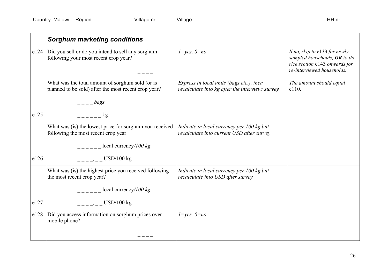|      | <b>Sorghum marketing conditions</b>                                                                      |                                                                                            |                                                                                                                               |
|------|----------------------------------------------------------------------------------------------------------|--------------------------------------------------------------------------------------------|-------------------------------------------------------------------------------------------------------------------------------|
| e124 | Did you sell or do you intend to sell any sorghum<br>following your most recent crop year?               | $1 = yes, 0 = no$                                                                          | If no, skip to e133 for newly<br>sampled households, OR to the<br>rice section e143 onwards for<br>re-interviewed households. |
|      | What was the total amount of sorghum sold (or is<br>planned to be sold) after the most recent crop year? | Express in local units (bags etc.), then<br>recalculate into kg after the interview/survey | The amount should equal<br>e110.                                                                                              |
|      | $\frac{1}{2}$ bags                                                                                       |                                                                                            |                                                                                                                               |
| e125 | kg                                                                                                       |                                                                                            |                                                                                                                               |
|      | What was (is) the lowest price for sorghum you received<br>following the most recent crop year           | Indicate in local currency per 100 kg but<br>recalculate into current USD after survey     |                                                                                                                               |
|      | $\frac{1}{2}$ = $\frac{1}{2}$ = local currency/100 kg                                                    |                                                                                            |                                                                                                                               |
| e126 | $-- ---$ USD/100 kg                                                                                      |                                                                                            |                                                                                                                               |
|      | What was (is) the highest price you received following<br>the most recent crop year?                     | Indicate in local currency per 100 kg but<br>recalculate into USD after survey             |                                                                                                                               |
|      | $\frac{1}{2}$ = $\frac{1}{2}$ local currency/100 kg                                                      |                                                                                            |                                                                                                                               |
| e127 | $-- -- ---$ USD/100 kg                                                                                   |                                                                                            |                                                                                                                               |
| e128 | Did you access information on sorghum prices over<br>mobile phone?                                       | $1 = yes, 0 = no$                                                                          |                                                                                                                               |
|      |                                                                                                          |                                                                                            |                                                                                                                               |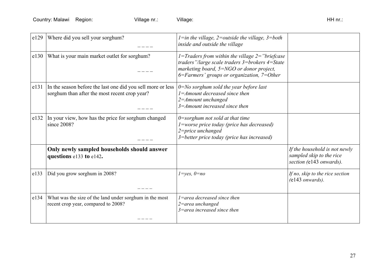| e129 | Where did you sell your sorghum?                                                                             | $l = in$ the village, 2=outside the village, 3=both<br>inside and outside the village                                                                                                          |                                                                                      |
|------|--------------------------------------------------------------------------------------------------------------|------------------------------------------------------------------------------------------------------------------------------------------------------------------------------------------------|--------------------------------------------------------------------------------------|
| e130 | What is your main market outlet for sorghum?                                                                 | 1=Traders from within the village $2$ ="briefcase"<br>traders"/large scale traders 3=brokers 4=State<br>marketing board, 5=NGO or donor project,<br>6=Farmers' groups or organization, 7=Other |                                                                                      |
| e131 | In the season before the last one did you sell more or less<br>sorghum than after the most recent crop year? | $0 = No$ sorghum sold the year before last<br>$1 =$ Amount decreased since then<br>$2 = A$ mount unchanged<br>$3 = A$ mount increased since then                                               |                                                                                      |
| e132 | In your view, how has the price for sorghum changed<br>since 2008?                                           | $0$ =sorghum not sold at that time<br><i>l</i> =worse price today (price has decreased)<br>$2$ =price unchanged<br>3=better price today (price has increased)                                  |                                                                                      |
|      | Only newly sampled households should answer<br>questions e133 to e142.                                       |                                                                                                                                                                                                | If the household is not newly<br>sampled skip to the rice<br>section (e143 onwards). |
| e133 | Did you grow sorghum in 2008?                                                                                | $1 = yes, 0 = no$                                                                                                                                                                              | If no, skip to the rice section<br>$($ e $143$ onwards).                             |
| e134 | What was the size of the land under sorghum in the most<br>recent crop year, compared to 2008?               | $1 =$ area decreased since then<br>$2$ =area unchanged<br>$3$ =area increased since then                                                                                                       |                                                                                      |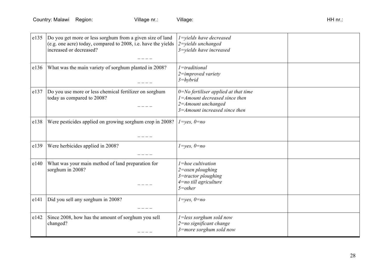| e135 | Do you get more or less sorghum from a given size of land<br>(e.g. one acre) today, compared to 2008, i.e. have the yields<br>increased or decreased? | $1 =$ vields have decreased<br>2=yields unchanged<br>3=yields have increased                                                                   |  |
|------|-------------------------------------------------------------------------------------------------------------------------------------------------------|------------------------------------------------------------------------------------------------------------------------------------------------|--|
| e136 | What was the main variety of sorghum planted in 2008?                                                                                                 | $1 = traditional$<br>$2 =$ improved variety<br>$3 = hybrid$                                                                                    |  |
| e137 | Do you use more or less chemical fertilizer on sorghum<br>today as compared to 2008?                                                                  | $0 = No$ fertiliser applied at that time<br>$1 =$ Amount decreased since then<br>$2 = A$ mount unchanged<br>$3 = A$ mount increased since then |  |
| e138 | Were pesticides applied on growing sorghum crop in 2008?                                                                                              | $1 = yes, 0 = no$                                                                                                                              |  |
| e139 | Were herbicides applied in 2008?                                                                                                                      | $1 = yes, 0 = no$                                                                                                                              |  |
| e140 | What was your main method of land preparation for<br>sorghum in 2008?                                                                                 | $l = hoe$ cultivation<br>$2$ = $o$ xen ploughing<br>$3 =$ tractor ploughing<br>$4$ =no till agriculture<br>$5$ = $other$                       |  |
| e141 | Did you sell any sorghum in 2008?                                                                                                                     | $1 = yes, 0 = no$                                                                                                                              |  |
| e142 | Since 2008, how has the amount of sorghum you sell<br>changed?                                                                                        | $1 = less$ sorghum sold now<br>$2 = no$ significant change<br>$3$ =more sorghum sold now                                                       |  |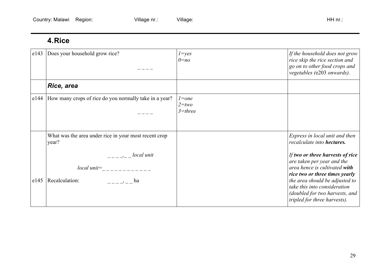## **4.Rice**

| e143 | Does your household grow rice?                                                                                                                                                                                                                                                                                                                                                                                                                                                                                                                                                       | $1 = yes$<br>$0=nq$                  | If the household does not grow<br>rice skip the rice section and<br>go on to other food crops and<br>vegetables (e203 onwards).                                                                                                                                       |
|------|--------------------------------------------------------------------------------------------------------------------------------------------------------------------------------------------------------------------------------------------------------------------------------------------------------------------------------------------------------------------------------------------------------------------------------------------------------------------------------------------------------------------------------------------------------------------------------------|--------------------------------------|-----------------------------------------------------------------------------------------------------------------------------------------------------------------------------------------------------------------------------------------------------------------------|
|      | Rice, area                                                                                                                                                                                                                                                                                                                                                                                                                                                                                                                                                                           |                                      |                                                                                                                                                                                                                                                                       |
| e144 | How many crops of rice do you normally take in a year?                                                                                                                                                                                                                                                                                                                                                                                                                                                                                                                               | $l = one$<br>$2 = two$<br>$3$ =three |                                                                                                                                                                                                                                                                       |
|      | What was the area under rice in your most recent crop<br>year?                                                                                                                                                                                                                                                                                                                                                                                                                                                                                                                       |                                      | Express in local unit and then<br>recalculate into hectares.                                                                                                                                                                                                          |
| e145 | $\frac{1}{1-\frac{1}{1-\frac{1}{1-\frac{1}{1-\frac{1}{1-\frac{1}{1-\frac{1}{1-\frac{1}{1-\frac{1}{1-\frac{1}{1-\frac{1}{1-\frac{1}{1-\frac{1}{1-\frac{1}{1-\frac{1}{1-\frac{1}{1-\frac{1}{1-\frac{1}{1-\frac{1}{1-\frac{1}{1-\frac{1}{1-\frac{1}{1-\frac{1}{1-\frac{1}{1-\frac{1}{1-\frac{1}{1-\frac{1}{1-\frac{1}{1-\frac{1}{1-\frac{1}{1-\frac{1}{1-\frac{1}{1-\frac{1}{1-\frac{1}{1-\frac{1}{1-\frac{1}{1-\frac{1$<br>$local unit =$ ________<br>Recalculation:<br>ha barang di kalendar di kacamatan di kacamatan di kacamatan di kacamatan di dalam kalendar di kacamatan di da |                                      | If two or three harvests of rice<br>are taken per year and the<br>area hence is cultivated with<br>rice two or three times yearly<br>the area should be adjusted to<br>take this into consideration<br>(doubled for two harvests, and<br>tripled for three harvests). |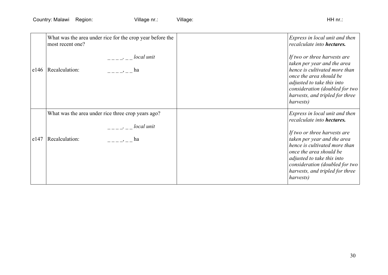|      | What was the area under rice for the crop year before the<br>most recent one? | Express in local unit and then<br>recalculate into hectares.                                                                                                                                                                            |
|------|-------------------------------------------------------------------------------|-----------------------------------------------------------------------------------------------------------------------------------------------------------------------------------------------------------------------------------------|
|      | $-- ---$ local unit<br>e146   Recalculation:<br>ha                            | If two or three harvests are<br>taken per year and the area<br>hence is cultivated more than<br>once the area should be<br>adjusted to take this into<br>consideration (doubled for two<br>harvests, and tripled for three<br>harvests) |
|      | What was the area under rice three crop years ago?                            | Express in local unit and then<br>recalculate into hectares.                                                                                                                                                                            |
| e147 | $\frac{1}{2}$ local unit<br>Recalculation:<br>$   \rightarrow$ $-$ ha         | If two or three harvests are<br>taken per year and the area<br>hence is cultivated more than<br>once the area should be<br>adjusted to take this into<br>consideration (doubled for two<br>harvests, and tripled for three<br>harvests) |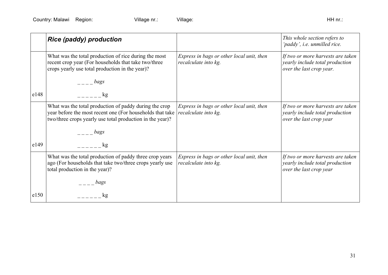|      | <b>Rice (paddy) production</b>                                                                                                                                                   |                                                                   | This whole section refers to<br>'paddy', i.e. unmilled rice.                                     |
|------|----------------------------------------------------------------------------------------------------------------------------------------------------------------------------------|-------------------------------------------------------------------|--------------------------------------------------------------------------------------------------|
|      | What was the total production of rice during the most<br>recent crop year (For households that take two/three<br>crops yearly use total production in the year)?                 | Express in bags or other local unit, then<br>recalculate into kg. | If two or more harvests are taken<br>yearly include total production<br>over the last crop year. |
|      | bags                                                                                                                                                                             |                                                                   |                                                                                                  |
| e148 | $k$ g                                                                                                                                                                            |                                                                   |                                                                                                  |
|      | What was the total production of paddy during the crop<br>year before the most recent one (For households that take<br>two/three crops yearly use total production in the year)? | Express in bags or other local unit, then<br>recalculate into kg. | If two or more harvests are taken<br>yearly include total production<br>over the last crop year  |
|      | bags                                                                                                                                                                             |                                                                   |                                                                                                  |
| e149 | $k$ g                                                                                                                                                                            |                                                                   |                                                                                                  |
|      | What was the total production of paddy three crop years<br>ago (For households that take two/three crops yearly use<br>total production in the year)?                            | Express in bags or other local unit, then<br>recalculate into kg. | If two or more harvests are taken<br>yearly include total production<br>over the last crop year  |
|      | bags                                                                                                                                                                             |                                                                   |                                                                                                  |
| e150 | kg                                                                                                                                                                               |                                                                   |                                                                                                  |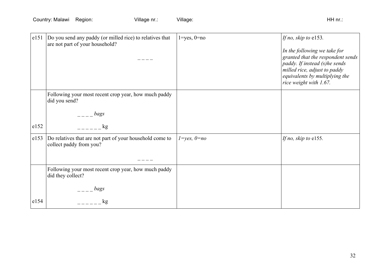| e151 | Do you send any paddy (or milled rice) to relatives that<br>are not part of your household? | $1 = yes, 0 = no$ | If no, skip to e153.<br>In the following we take for<br>granted that the respondent sends<br>paddy. If instead (s)he sends<br>milled rice, adjust to paddy<br>equivalents by multiplying the<br>rice weight with 1.67. |
|------|---------------------------------------------------------------------------------------------|-------------------|------------------------------------------------------------------------------------------------------------------------------------------------------------------------------------------------------------------------|
|      | Following your most recent crop year, how much paddy<br>did you send?                       |                   |                                                                                                                                                                                                                        |
|      | bags                                                                                        |                   |                                                                                                                                                                                                                        |
| e152 | kg                                                                                          |                   |                                                                                                                                                                                                                        |
| e153 | Do relatives that are not part of your household come to<br>collect paddy from you?         | $1 = yes, 0 = no$ | If no, skip to e155.                                                                                                                                                                                                   |
|      | Following your most recent crop year, how much paddy<br>did they collect?                   |                   |                                                                                                                                                                                                                        |
|      | bags                                                                                        |                   |                                                                                                                                                                                                                        |
| e154 | kg                                                                                          |                   |                                                                                                                                                                                                                        |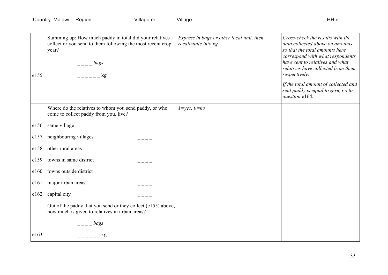| e155 | Summing up: How much paddy in total did your relatives<br>collect or you send to them following the most recent crop<br>year?<br>bags<br>$\log$ | Express in bags or other local unit, then<br>recalculate into kg. | Cross-check the results with the<br>data collected above on amounts<br>so that the total amounts here<br>correspond with what respondents<br>have sent to relatives and what<br>relatives have collected from them<br>respectively. |
|------|-------------------------------------------------------------------------------------------------------------------------------------------------|-------------------------------------------------------------------|-------------------------------------------------------------------------------------------------------------------------------------------------------------------------------------------------------------------------------------|
|      |                                                                                                                                                 |                                                                   | If the total amount of collected and<br>sent paddy is equal to zero, go to<br>question e164.                                                                                                                                        |
|      | Where do the relatives to whom you send paddy, or who<br>come to collect paddy from you, live?                                                  | $1 = yes, 0 = no$                                                 |                                                                                                                                                                                                                                     |
| e156 | same village                                                                                                                                    |                                                                   |                                                                                                                                                                                                                                     |
| e157 | neighbouring villages                                                                                                                           |                                                                   |                                                                                                                                                                                                                                     |
| e158 | other rural areas                                                                                                                               |                                                                   |                                                                                                                                                                                                                                     |
| e159 | towns in same district                                                                                                                          |                                                                   |                                                                                                                                                                                                                                     |
| e160 | towns outside district                                                                                                                          |                                                                   |                                                                                                                                                                                                                                     |
| e161 | major urban areas                                                                                                                               |                                                                   |                                                                                                                                                                                                                                     |
| e162 | capital city                                                                                                                                    |                                                                   |                                                                                                                                                                                                                                     |
|      | Out of the paddy that you send or they collect (e155) above,<br>how much is given to relatives in urban areas?                                  |                                                                   |                                                                                                                                                                                                                                     |
|      | bags                                                                                                                                            |                                                                   |                                                                                                                                                                                                                                     |
| e163 | kg                                                                                                                                              |                                                                   |                                                                                                                                                                                                                                     |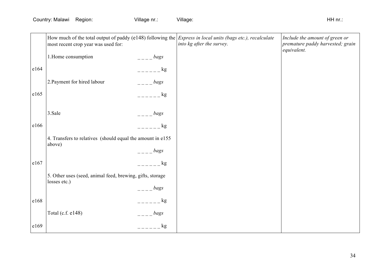|      | most recent crop year was used for:                                       |         | How much of the total output of paddy (e148) following the <i>Express in local units (bags etc.), recalculate</i><br>into kg after the survey. | Include the amount of green or<br>premature paddy harvested; grain<br>equivalent. |
|------|---------------------------------------------------------------------------|---------|------------------------------------------------------------------------------------------------------------------------------------------------|-----------------------------------------------------------------------------------|
|      | 1. Home consumption                                                       | bags    |                                                                                                                                                |                                                                                   |
| e164 |                                                                           | kg      |                                                                                                                                                |                                                                                   |
|      | 2. Payment for hired labour                                               | bags    |                                                                                                                                                |                                                                                   |
| e165 |                                                                           | kg      |                                                                                                                                                |                                                                                   |
|      |                                                                           |         |                                                                                                                                                |                                                                                   |
|      | 3.Sale                                                                    | bags    |                                                                                                                                                |                                                                                   |
| e166 |                                                                           | $ -$ kg |                                                                                                                                                |                                                                                   |
|      | 4. Transfers to relatives (should equal the amount in e155)<br>above)     |         |                                                                                                                                                |                                                                                   |
|      |                                                                           | bags    |                                                                                                                                                |                                                                                   |
| e167 |                                                                           | $-$ kg  |                                                                                                                                                |                                                                                   |
|      | 5. Other uses (seed, animal feed, brewing, gifts, storage<br>losses etc.) |         |                                                                                                                                                |                                                                                   |
|      |                                                                           | bags    |                                                                                                                                                |                                                                                   |
| e168 |                                                                           | kg      |                                                                                                                                                |                                                                                   |
|      | Total (c.f. e148)                                                         | bags    |                                                                                                                                                |                                                                                   |
| e169 |                                                                           | kg      |                                                                                                                                                |                                                                                   |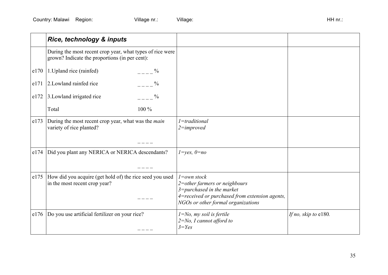|      | Rice, technology & inputs                                                                                   |                                                                                                                                                                            |                      |
|------|-------------------------------------------------------------------------------------------------------------|----------------------------------------------------------------------------------------------------------------------------------------------------------------------------|----------------------|
|      | During the most recent crop year, what types of rice were<br>grown? Indicate the proportions (in per cent): |                                                                                                                                                                            |                      |
| e170 | 1. Upland rice (rainfed)<br>$\%$                                                                            |                                                                                                                                                                            |                      |
| e171 | 2. Lowland rainfed rice<br>$\overline{a}$ = $\overline{a}$ $\overline{b}$                                   |                                                                                                                                                                            |                      |
| e172 | $\%$<br>3. Lowland irrigated rice                                                                           |                                                                                                                                                                            |                      |
|      | 100 %<br>Total                                                                                              |                                                                                                                                                                            |                      |
| e173 | During the most recent crop year, what was the main<br>variety of rice planted?                             | $1 =$ traditional<br>$2 = improved$                                                                                                                                        |                      |
| e174 | Did you plant any NERICA or NERICA descendants?                                                             | $1 = yes, 0 = no$                                                                                                                                                          |                      |
| e175 | How did you acquire (get hold of) the rice seed you used<br>in the most recent crop year?                   | $l = own stock$<br>2=other farmers or neighbours<br>$3 = pure$ hased in the market<br>4=received or purchased from extension agents,<br>NGOs or other formal organizations |                      |
| e176 | Do you use artificial fertilizer on your rice?                                                              | $1 = No$ , my soil is fertile<br>$2 = No$ , I cannot afford to<br>$3 = Yes$                                                                                                | If no, skip to e180. |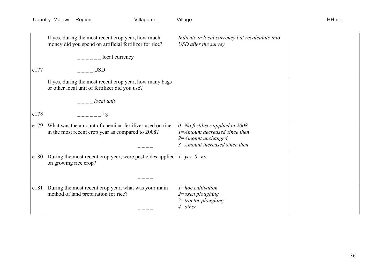|      | If yes, during the most recent crop year, how much<br>money did you spend on artificial fertilizer for rice? | Indicate in local currency but recalculate into<br>USD after the survey.                                                                  |  |
|------|--------------------------------------------------------------------------------------------------------------|-------------------------------------------------------------------------------------------------------------------------------------------|--|
|      | $\frac{1}{2}$ local currency                                                                                 |                                                                                                                                           |  |
| e177 | <b>USD</b>                                                                                                   |                                                                                                                                           |  |
|      | If yes, during the most recent crop year, how many bags<br>or other local unit of fertilizer did you use?    |                                                                                                                                           |  |
|      | local unit                                                                                                   |                                                                                                                                           |  |
| e178 | kg                                                                                                           |                                                                                                                                           |  |
| e179 | What was the amount of chemical fertilizer used on rice<br>in the most recent crop year as compared to 2008? | $0 = No$ fertiliser applied in 2008<br>$1 = A$ mount decreased since then<br>$2 = A$ mount unchanged<br>$3 =$ Amount increased since then |  |
| e180 | During the most recent crop year, were pesticides applied $1 = yes$ , $0 = no$<br>on growing rice crop?      |                                                                                                                                           |  |
| e181 | During the most recent crop year, what was your main<br>method of land preparation for rice?                 | $l = hoe$ cultivation<br>$2$ =oxen ploughing<br>$3 =$ tractor ploughing<br>$4$ =other                                                     |  |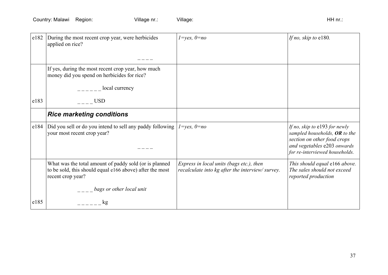| e182           | During the most recent crop year, were herbicides<br>applied on rice?                                                                   | $1 = yes, 0 = no$                                                                           | If no, skip to e180.                                                                                                             |
|----------------|-----------------------------------------------------------------------------------------------------------------------------------------|---------------------------------------------------------------------------------------------|----------------------------------------------------------------------------------------------------------------------------------|
|                |                                                                                                                                         |                                                                                             |                                                                                                                                  |
|                | If yes, during the most recent crop year, how much<br>money did you spend on herbicides for rice?                                       |                                                                                             |                                                                                                                                  |
|                | local currency                                                                                                                          |                                                                                             |                                                                                                                                  |
| e183           | <b>USD</b>                                                                                                                              |                                                                                             |                                                                                                                                  |
|                | <b>Rice marketing conditions</b>                                                                                                        |                                                                                             |                                                                                                                                  |
| $ e184\rangle$ | Did you sell or do you intend to sell any paddy following<br>your most recent crop year?                                                | $1 = yes, 0 = no$                                                                           | If no, skip to $e193$ for newly<br>sampled households, $OR$ to the<br>section on other food crops<br>and vegetables e203 onwards |
|                |                                                                                                                                         |                                                                                             | for re-interviewed households.                                                                                                   |
|                | What was the total amount of paddy sold (or is planned<br>to be sold, this should equal e166 above) after the most<br>recent crop year? | Express in local units (bags etc.), then<br>recalculate into kg after the interview/survey. | This should equal e166 above.<br>The sales should not exceed<br>reported production                                              |
|                | bags or other local unit                                                                                                                |                                                                                             |                                                                                                                                  |
| e185           | kg                                                                                                                                      |                                                                                             |                                                                                                                                  |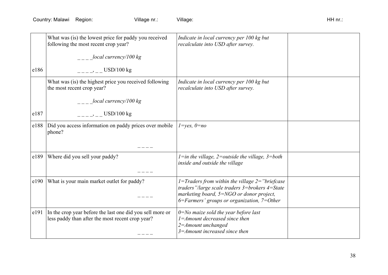| e186 | What was (is) the lowest price for paddy you received<br>following the most recent crop year?<br>local currency/100 $kg$<br>$-- ---$ USD/100 kg | Indicate in local currency per 100 kg but<br>recalculate into USD after survey.                                                                                                                              |  |
|------|-------------------------------------------------------------------------------------------------------------------------------------------------|--------------------------------------------------------------------------------------------------------------------------------------------------------------------------------------------------------------|--|
| e187 | What was (is) the highest price you received following<br>the most recent crop year?<br>local currency/100 kg<br>$-- ---$ USD/100 kg            | Indicate in local currency per 100 kg but<br>recalculate into USD after survey.                                                                                                                              |  |
| e188 | Did you access information on paddy prices over mobile<br>phone?                                                                                | $1 = yes, 0 = no$                                                                                                                                                                                            |  |
| e189 | Where did you sell your paddy?                                                                                                                  | $l = in$ the village, 2=outside the village, 3=both<br>inside and outside the village                                                                                                                        |  |
| e190 | What is your main market outlet for paddy?                                                                                                      | $1 = Traders from within the village 2 = "brief case$<br>traders"/large scale traders $3 =$ brokers $4 =$ State<br>marketing board, 5=NGO or donor project,<br>$6$ =Farmers' groups or organization, 7=Other |  |
| e191 | In the crop year before the last one did you sell more or<br>less paddy than after the most recent crop year?                                   | $0 = No$ maize sold the year before last<br>$1 =$ Amount decreased since then<br>2=Amount unchanged<br>$3 =$ Amount increased since then                                                                     |  |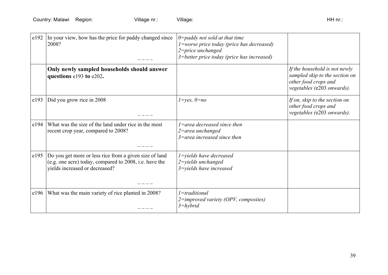| e192 | In your view, how has the price for paddy changed since<br>2008?                                                                                   | $0$ =paddy not sold at that time<br>$1$ =worse price today (price has decreased)<br>2=price unchanged<br>3=better price today (price has increased) |                                                                                                                       |
|------|----------------------------------------------------------------------------------------------------------------------------------------------------|-----------------------------------------------------------------------------------------------------------------------------------------------------|-----------------------------------------------------------------------------------------------------------------------|
|      | Only newly sampled households should answer<br>questions e193 to e202.                                                                             |                                                                                                                                                     | If the household is not newly<br>sampled skip to the section on<br>other food crops and<br>vegetables (e203 onwards). |
| e193 | Did you grow rice in 2008                                                                                                                          | $1 = yes, 0 = no$                                                                                                                                   | If on, skip to the section on<br>other food crops and<br>vegetables (e203 onwards).                                   |
| e194 | What was the size of the land under rice in the most<br>recent crop year, compared to 2008?                                                        | $1$ =area decreased since then<br>$2$ =area unchanged<br>$3$ =area increased since then                                                             |                                                                                                                       |
| e195 | Do you get more or less rice from a given size of land<br>(e.g. one acre) today, compared to 2008, i.e. have the<br>yields increased or decreased? | $1 =$ yields have decreased<br>2=yields unchanged<br>$3$ =yields have increased                                                                     |                                                                                                                       |
| e196 | What was the main variety of rice planted in 2008?                                                                                                 | $1 = traditional$<br>$2 =$ improved variety (OPV, composites)<br>$3 = hybrid$                                                                       |                                                                                                                       |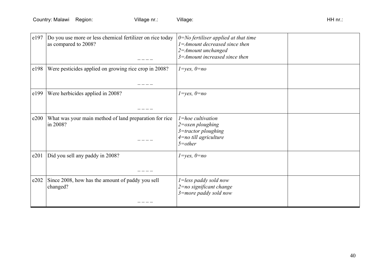| e197 | Do you use more or less chemical fertilizer on rice today<br>as compared to 2008? | $0 = No$ fertiliser applied at that time<br>$1 = A$ mount decreased since then<br>2=Amount unchanged<br>$3 = A$ mount increased since then |  |
|------|-----------------------------------------------------------------------------------|--------------------------------------------------------------------------------------------------------------------------------------------|--|
| e198 | Were pesticides applied on growing rice crop in 2008?                             | $l = yes, 0 = no$                                                                                                                          |  |
| e199 | Were herbicides applied in 2008?                                                  | $1 = yes, 0 = no$                                                                                                                          |  |
| e200 | What was your main method of land preparation for rice<br>in 2008?                | $l = hoe$ cultivation<br>$2$ = $\alpha$ xen ploughing<br>3=tractor ploughing<br>$4$ =no till agriculture<br>$5$ =other                     |  |
| e201 | Did you sell any paddy in 2008?                                                   | $1 = yes, 0 = no$                                                                                                                          |  |
| e202 | Since 2008, how has the amount of paddy you sell<br>changed?                      | 1=less paddy sold now<br>2=no significant change<br>$3$ =more paddy sold now                                                               |  |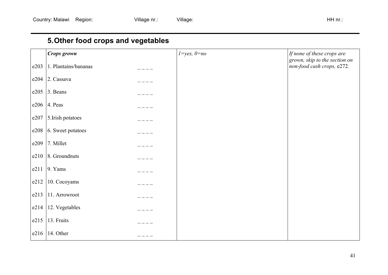# **5.Other food crops and vegetables**

|      | Crops grown          | $1 = yes, 0 = no$ | If none of these crops are<br>grown, skip to the section on |
|------|----------------------|-------------------|-------------------------------------------------------------|
| e203 | 1. Plantains/bananas |                   | non-food cash crops, e272.                                  |
| e204 | 2. Cassava           |                   |                                                             |
| e205 | 3. Beans             |                   |                                                             |
| e206 | 4. Peas              |                   |                                                             |
| e207 | 5. Irish potatoes    |                   |                                                             |
| e208 | 6. Sweet potatoes    |                   |                                                             |
| e209 | 7. Millet            |                   |                                                             |
| e210 | 8. Groundnuts        |                   |                                                             |
| e211 | $9.$ Yams            |                   |                                                             |
| e212 | 10. Cocoyams         |                   |                                                             |
| e213 | 11. Arrowroot        |                   |                                                             |
| e214 | 12. Vegetables       |                   |                                                             |
| e215 | 13. Fruits           |                   |                                                             |
| e216 | 14. Other            |                   |                                                             |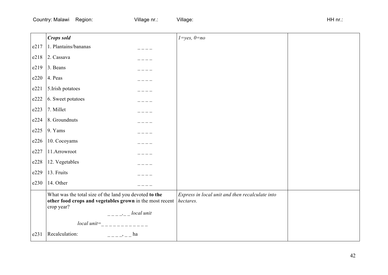|      | <b>Crops sold</b>                                                                                                                                                         | $1 = yes, 0 = no$                               |  |
|------|---------------------------------------------------------------------------------------------------------------------------------------------------------------------------|-------------------------------------------------|--|
| e217 | 1. Plantains/bananas                                                                                                                                                      |                                                 |  |
| e218 | 2. Cassava                                                                                                                                                                |                                                 |  |
| e219 | 3. Beans                                                                                                                                                                  |                                                 |  |
| e220 | 4. Peas                                                                                                                                                                   |                                                 |  |
| e221 | 5.Irish potatoes                                                                                                                                                          |                                                 |  |
| e222 | 6. Sweet potatoes                                                                                                                                                         |                                                 |  |
| e223 | 7. Millet                                                                                                                                                                 |                                                 |  |
| e224 | 8. Groundnuts                                                                                                                                                             |                                                 |  |
| e225 | 9. Yams                                                                                                                                                                   |                                                 |  |
| e226 | 10. Cocoyams                                                                                                                                                              |                                                 |  |
| e227 | 11.Arrowroot                                                                                                                                                              |                                                 |  |
| e228 | 12. Vegetables                                                                                                                                                            |                                                 |  |
| e229 | 13. Fruits                                                                                                                                                                |                                                 |  |
| e230 | 14. Other                                                                                                                                                                 |                                                 |  |
|      | What was the total size of the land you devoted to the<br>other food crops and vegetables grown in the most recent <i>hectares</i> .<br>crop year?<br>$-- ---$ local unit | Express in local unit and then recalculate into |  |
| e231 | Recalculation:<br>$--- - - -$ ha                                                                                                                                          |                                                 |  |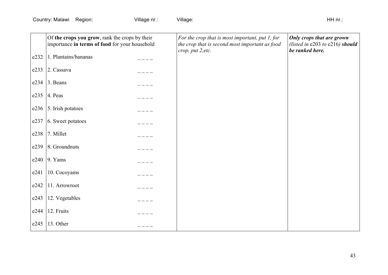|      | Of the crops you grow, rank the crops by their<br>importance in terms of food for your household | For the crop that is most important, put 1, for<br>the crop that is second most important as food<br>crop, put 2, etc. | Only crops that are grown<br>(listed in e203 to e216) should<br>be ranked here. |
|------|--------------------------------------------------------------------------------------------------|------------------------------------------------------------------------------------------------------------------------|---------------------------------------------------------------------------------|
| e232 | 1. Plantains/bananas                                                                             |                                                                                                                        |                                                                                 |
| e233 | 2. Cassava                                                                                       |                                                                                                                        |                                                                                 |
| e234 | 3. Beans                                                                                         |                                                                                                                        |                                                                                 |
| e235 | 4. Peas                                                                                          |                                                                                                                        |                                                                                 |
| e236 | 5. Irish potatoes                                                                                |                                                                                                                        |                                                                                 |
| e237 | 6. Sweet potatoes                                                                                |                                                                                                                        |                                                                                 |
| e238 | 7. Millet                                                                                        |                                                                                                                        |                                                                                 |
| e239 | 8. Groundnuts                                                                                    |                                                                                                                        |                                                                                 |
| e240 | $9.$ Yams                                                                                        |                                                                                                                        |                                                                                 |
| e241 | 10. Cocoyams                                                                                     |                                                                                                                        |                                                                                 |
| e242 | 11. Arrowroot                                                                                    |                                                                                                                        |                                                                                 |
| e243 | 12. Vegetables                                                                                   |                                                                                                                        |                                                                                 |
| e244 | 12. Fruits                                                                                       |                                                                                                                        |                                                                                 |
| e245 | 13. Other                                                                                        |                                                                                                                        |                                                                                 |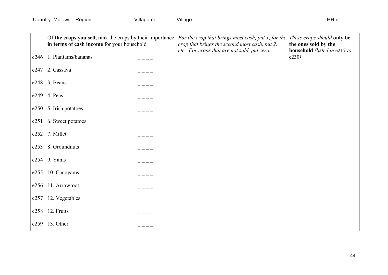|      | Of the crops you sell, rank the crops by their importance<br>in terms of cash income for your household | For the crop that brings most cash, put 1, for the<br>crop that brings the second most cash, put 2,<br>etc. For crops that are not sold, put zero. | These crops should only be<br>the ones sold by the<br>household (listed in e217 to |
|------|---------------------------------------------------------------------------------------------------------|----------------------------------------------------------------------------------------------------------------------------------------------------|------------------------------------------------------------------------------------|
| e246 | 1. Plantains/bananas                                                                                    |                                                                                                                                                    | e230)                                                                              |
| e247 | 2. Cassava                                                                                              |                                                                                                                                                    |                                                                                    |
| e248 | 3. Beans                                                                                                |                                                                                                                                                    |                                                                                    |
| e249 | 4. Peas                                                                                                 |                                                                                                                                                    |                                                                                    |
| e250 | 5. Irish potatoes                                                                                       |                                                                                                                                                    |                                                                                    |
| e251 | 6. Sweet potatoes                                                                                       |                                                                                                                                                    |                                                                                    |
| e252 | 7. Millet                                                                                               |                                                                                                                                                    |                                                                                    |
| e253 | 8. Groundnuts                                                                                           |                                                                                                                                                    |                                                                                    |
| e254 | $9.$ Yams                                                                                               |                                                                                                                                                    |                                                                                    |
| e255 | 10. Cocoyams                                                                                            |                                                                                                                                                    |                                                                                    |
| e256 | 11. Arrowroot                                                                                           |                                                                                                                                                    |                                                                                    |
| e257 | 12. Vegetables                                                                                          |                                                                                                                                                    |                                                                                    |
| e258 | 12. Fruits                                                                                              |                                                                                                                                                    |                                                                                    |
| e259 | 13. Other                                                                                               |                                                                                                                                                    |                                                                                    |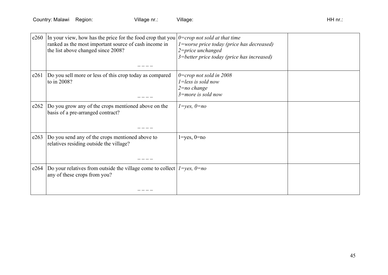| e260 | In your view, how has the price for the food crop that you $\theta$ =crop not sold at that time<br>ranked as the most important source of cash income in<br>the list above changed since 2008? | $1$ =worse price today (price has decreased)<br>$2$ =price unchanged<br>3=better price today (price has increased) |  |
|------|------------------------------------------------------------------------------------------------------------------------------------------------------------------------------------------------|--------------------------------------------------------------------------------------------------------------------|--|
| e261 | Do you sell more or less of this crop today as compared<br>to in 2008?                                                                                                                         | $0=$ crop not sold in 2008<br>$1 =$ less is sold now<br>$2 = no$ change<br>$3$ =more is sold now                   |  |
| e262 | Do you grow any of the crops mentioned above on the<br>basis of a pre-arranged contract?                                                                                                       | $l = yes, 0 = no$                                                                                                  |  |
| e263 | Do you send any of the crops mentioned above to<br>relatives residing outside the village?                                                                                                     | $1 = yes, 0 = no$                                                                                                  |  |
| e264 | Do your relatives from outside the village come to collect $I = yes$ , $0 = no$<br>any of these crops from you?                                                                                |                                                                                                                    |  |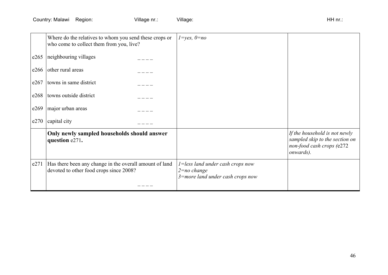|      | Where do the relatives to whom you send these crops or<br>who come to collect them from you, live? | $1 = yes, 0 = no$                                                                              |                                                                                                           |
|------|----------------------------------------------------------------------------------------------------|------------------------------------------------------------------------------------------------|-----------------------------------------------------------------------------------------------------------|
| e265 | neighbouring villages                                                                              |                                                                                                |                                                                                                           |
| e266 | other rural areas                                                                                  |                                                                                                |                                                                                                           |
| e267 | towns in same district                                                                             |                                                                                                |                                                                                                           |
| e268 | towns outside district                                                                             |                                                                                                |                                                                                                           |
| e269 | major urban areas                                                                                  |                                                                                                |                                                                                                           |
| e270 | capital city                                                                                       |                                                                                                |                                                                                                           |
|      | Only newly sampled households should answer<br>question e271.                                      |                                                                                                | If the household is not newly<br>sampled skip to the section on<br>non-food cash crops (e272<br>onwards). |
| e271 | Has there been any change in the overall amount of land<br>devoted to other food crops since 2008? | $1 =$ less land under cash crops now<br>$2 = no$ change<br>$3$ =more land under cash crops now |                                                                                                           |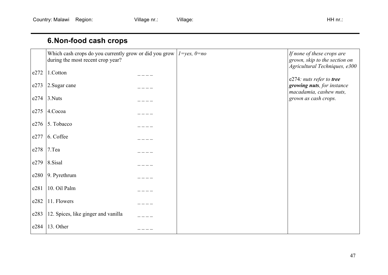## **6.Non-food cash crops**

|      | Which cash crops do you currently grow or did you grow  <br>during the most recent crop year? | $1 = yes, 0 = no$ | If none of these crops are<br>grown, skip to the section on<br>Agricultural Techniques, e300 |
|------|-----------------------------------------------------------------------------------------------|-------------------|----------------------------------------------------------------------------------------------|
| e272 | 1.Cotton                                                                                      |                   | e274: nuts refer to tree                                                                     |
| e273 | 2. Sugar cane                                                                                 |                   | growing nuts, for instance<br>macadamia, cashew nuts,                                        |
| e274 | 3. Nuts                                                                                       |                   | grown as cash crops.                                                                         |
| e275 | 4.Cocoa                                                                                       |                   |                                                                                              |
| e276 | 5. Tobacco                                                                                    |                   |                                                                                              |
| e277 | 6. Coffee                                                                                     |                   |                                                                                              |
| e278 | $7.$ Tea                                                                                      |                   |                                                                                              |
| e279 | 8.Sisal                                                                                       |                   |                                                                                              |
| e280 | 9. Pyrethrum                                                                                  |                   |                                                                                              |
| e281 | 10. Oil Palm                                                                                  |                   |                                                                                              |
| e282 | 11. Flowers                                                                                   |                   |                                                                                              |
| e283 | 12. Spices, like ginger and vanilla                                                           |                   |                                                                                              |
| e284 | 13. Other                                                                                     |                   |                                                                                              |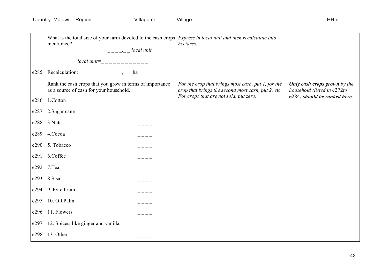|      | What is the total size of your farm devoted to the cash crops $\frac{1}{2}$ <i>Express in local unit and then recalculate into</i><br>mentioned?<br>$--- - -$ local unit | hectares.                                                                                                |                                                                    |
|------|--------------------------------------------------------------------------------------------------------------------------------------------------------------------------|----------------------------------------------------------------------------------------------------------|--------------------------------------------------------------------|
|      |                                                                                                                                                                          |                                                                                                          |                                                                    |
| e285 | Recalculation:<br>$---     ha$                                                                                                                                           |                                                                                                          |                                                                    |
|      | Rank the cash crops that you grow in terms of importance<br>as a source of cash for your household.                                                                      | For the crop that brings most cash, put 1, for the<br>crop that brings the second most cash, put 2, etc. | <b>Only cash crops grown</b> by the<br>household (listed in e272to |
| e286 | 1.Cotton                                                                                                                                                                 | For crops that are not sold, put zero.                                                                   | e284) should be ranked here.                                       |
| e287 | 2. Sugar cane                                                                                                                                                            |                                                                                                          |                                                                    |
| e288 | 3.Nuts                                                                                                                                                                   |                                                                                                          |                                                                    |
| e289 | 4.Cocoa                                                                                                                                                                  |                                                                                                          |                                                                    |
| e290 | 5. Tobacco                                                                                                                                                               |                                                                                                          |                                                                    |
| e291 | 6.Coffee                                                                                                                                                                 |                                                                                                          |                                                                    |
| e292 | 7.Tea                                                                                                                                                                    |                                                                                                          |                                                                    |
| e293 | 8.Sisal                                                                                                                                                                  |                                                                                                          |                                                                    |
| e294 | 9. Pyrethrum                                                                                                                                                             |                                                                                                          |                                                                    |
| e295 | 10. Oil Palm                                                                                                                                                             |                                                                                                          |                                                                    |
| e296 | 11. Flowers                                                                                                                                                              |                                                                                                          |                                                                    |
| e297 | 12. Spices, like ginger and vanilla                                                                                                                                      |                                                                                                          |                                                                    |
| e298 | 13. Other                                                                                                                                                                |                                                                                                          |                                                                    |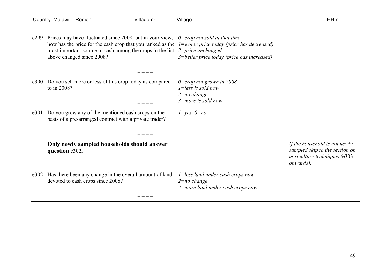| e299 | Prices may have fluctuated since 2008, but in your view,<br>how has the price for the cash crop that you ranked as the<br>most important source of cash among the crops in the list<br>above changed since 2008? | $0=$ crop not sold at that time<br>$1$ =worse price today (price has decreased)<br>$2$ =price unchanged<br>3=better price today (price has increased) |                                                                                                              |
|------|------------------------------------------------------------------------------------------------------------------------------------------------------------------------------------------------------------------|-------------------------------------------------------------------------------------------------------------------------------------------------------|--------------------------------------------------------------------------------------------------------------|
| e300 | Do you sell more or less of this crop today as compared<br>to in 2008?                                                                                                                                           | $0=$ crop not grown in 2008<br>$1 = less$ is sold now<br>$2 = no \ change$<br>$3$ =more is sold now                                                   |                                                                                                              |
| e301 | Do you grow any of the mentioned cash crops on the<br>basis of a pre-arranged contract with a private trader?                                                                                                    | $1 = yes, 0 = no$                                                                                                                                     |                                                                                                              |
|      | Only newly sampled households should answer<br>question e302.                                                                                                                                                    |                                                                                                                                                       | If the household is not newly<br>sampled skip to the section on<br>agriculture techniques (e303<br>onwards). |
| e302 | Has there been any change in the overall amount of land<br>devoted to cash crops since 2008?                                                                                                                     | $1 =$ less land under cash crops now<br>$2 = no$ change<br>$3$ =more land under cash crops now                                                        |                                                                                                              |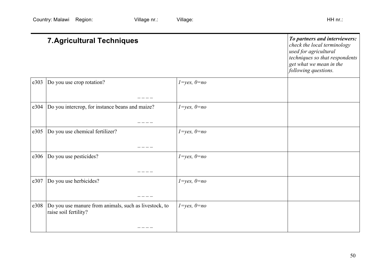|      | <b>7. Agricultural Techniques</b>                                              |                   |  |
|------|--------------------------------------------------------------------------------|-------------------|--|
| e303 | Do you use crop rotation?                                                      | $1 = yes, 0 = no$ |  |
| e304 | Do you intercrop, for instance beans and maize?                                | $1 = yes, 0 = no$ |  |
| e305 | Do you use chemical fertilizer?                                                | $1 = yes, 0 = no$ |  |
| e306 | Do you use pesticides?                                                         | $1 = yes, 0 = no$ |  |
| e307 | Do you use herbicides?                                                         | $1 = yes, 0 = no$ |  |
| e308 | Do you use manure from animals, such as livestock, to<br>raise soil fertility? | $1 = yes, 0 = no$ |  |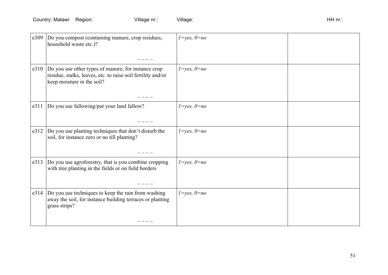| e309 | Do you compost (containing manure, crop residues,<br>household waste etc.)?                                                                       | $1 = yes, 0 = no$ |  |
|------|---------------------------------------------------------------------------------------------------------------------------------------------------|-------------------|--|
| e310 | Do you use other types of manure, for instance crop<br>residue, stalks, leaves, etc. to raise soil fertility and/or<br>keep moisture in the soil? | $1 = yes, 0 = no$ |  |
| e311 | Do you use fallowing/put your land fallow?                                                                                                        | $1 = yes, 0 = no$ |  |
| e312 | Do you use planting techniques that don't disturb the<br>soil, for instance zero or no till planting?                                             | $1 = yes, 0 = no$ |  |
| e313 | Do you use agroforestry, that is you combine cropping<br>with tree planting in the fields or on field borders                                     | $1 = yes, 0 = no$ |  |
| e314 | Do you use techniques to keep the rain from washing<br>away the soil, for instance building terraces or planting<br>grass strips?                 | $1 = yes, 0 = no$ |  |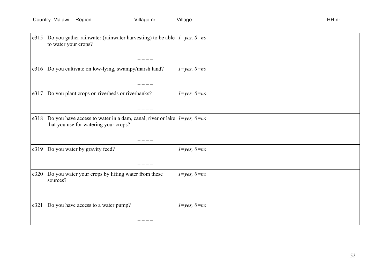| e315 | Do you gather rainwater (rainwater harvesting) to be able $1 = yes, 0 = no$<br>to water your crops?                   |                   |  |
|------|-----------------------------------------------------------------------------------------------------------------------|-------------------|--|
|      |                                                                                                                       |                   |  |
| e316 | Do you cultivate on low-lying, swampy/marsh land?                                                                     | $1 = yes, 0 = no$ |  |
| e317 | Do you plant crops on riverbeds or riverbanks?                                                                        | $1 = yes, 0 = no$ |  |
| e318 | Do you have access to water in a dam, canal, river or lake $1 = yes, 0 = no$<br>that you use for watering your crops? |                   |  |
| e319 | Do you water by gravity feed?                                                                                         | $1 = yes, 0 = no$ |  |
| e320 | Do you water your crops by lifting water from these<br>sources?                                                       | $1 = yes, 0 = no$ |  |
| e321 | Do you have access to a water pump?                                                                                   | $1 = yes, 0 = no$ |  |
|      |                                                                                                                       |                   |  |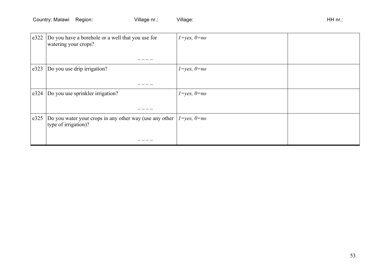| e322 | Do you have a borehole or a well that you use for<br>watering your crops?       | $1 = yes, 0 = no$ |  |
|------|---------------------------------------------------------------------------------|-------------------|--|
|      |                                                                                 |                   |  |
| e323 | Do you use drip irrigation?                                                     | $1 = yes, 0 = no$ |  |
|      |                                                                                 |                   |  |
| e324 | Do you use sprinkler irrigation?                                                | $1 = yes, 0 = no$ |  |
|      |                                                                                 |                   |  |
| e325 | Do you water your crops in any other way (use any other<br>type of irrigation)? | $1 = yes, 0 = no$ |  |
|      |                                                                                 |                   |  |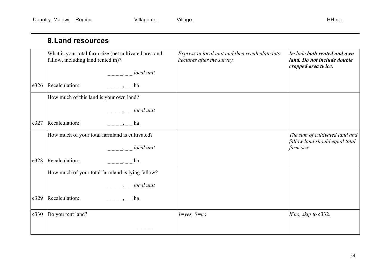#### **8.Land resources**

|      | What is your total farm size (net cultivated area and<br>fallow, including land rented in)?                                                                                                                                                                                                                                                                                                                           | Express in local unit and then recalculate into<br>hectares after the survey | Include both rented and own<br>land. Do not include double<br>cropped area twice. |
|------|-----------------------------------------------------------------------------------------------------------------------------------------------------------------------------------------------------------------------------------------------------------------------------------------------------------------------------------------------------------------------------------------------------------------------|------------------------------------------------------------------------------|-----------------------------------------------------------------------------------|
|      | $\frac{1}{1-\frac{1}{1-\frac{1}{1-\frac{1}{1-\frac{1}{1-\frac{1}{1-\frac{1}{1-\frac{1}{1-\frac{1}{1-\frac{1}{1-\frac{1}{1-\frac{1}{1-\frac{1}{1-\frac{1}{1-\frac{1}{1-\frac{1}{1-\frac{1}{1-\frac{1}{1-\frac{1}{1-\frac{1}{1-\frac{1}{1-\frac{1}{1-\frac{1}{1-\frac{1}{1-\frac{1}{1-\frac{1}{1-\frac{1}{1-\frac{1}{1-\frac{1}{1-\frac{1}{1-\frac{1}{1-\frac{1}{1-\frac{1}{1-\frac{1}{1-\frac{1}{1-\frac{1}{1-\frac{1$ |                                                                              |                                                                                   |
| e326 | Recalculation:<br>$\,$ , ha                                                                                                                                                                                                                                                                                                                                                                                           |                                                                              |                                                                                   |
|      | How much of this land is your own land?                                                                                                                                                                                                                                                                                                                                                                               |                                                                              |                                                                                   |
|      | $-- ---$ local unit                                                                                                                                                                                                                                                                                                                                                                                                   |                                                                              |                                                                                   |
| e327 | Recalculation:<br>$-\frac{1}{2}$ $\frac{1}{2}$ $\frac{1}{2}$ ha                                                                                                                                                                                                                                                                                                                                                       |                                                                              |                                                                                   |
|      | How much of your total farmland is cultivated?                                                                                                                                                                                                                                                                                                                                                                        |                                                                              | The sum of cultivated land and                                                    |
|      | $-- ---$ local unit                                                                                                                                                                                                                                                                                                                                                                                                   |                                                                              | fallow land should equal total<br>farm size                                       |
| e328 | Recalculation:<br>$h$ a                                                                                                                                                                                                                                                                                                                                                                                               |                                                                              |                                                                                   |
|      | How much of your total farmland is lying fallow?                                                                                                                                                                                                                                                                                                                                                                      |                                                                              |                                                                                   |
|      | $-- ---$ local unit                                                                                                                                                                                                                                                                                                                                                                                                   |                                                                              |                                                                                   |
| e329 | Recalculation:<br>$-\frac{1}{2}$ $\frac{1}{2}$ $\frac{1}{2}$ ha                                                                                                                                                                                                                                                                                                                                                       |                                                                              |                                                                                   |
| e330 | Do you rent land?                                                                                                                                                                                                                                                                                                                                                                                                     | $1 = yes, 0 = no$                                                            | If no, skip to e332.                                                              |
|      |                                                                                                                                                                                                                                                                                                                                                                                                                       |                                                                              |                                                                                   |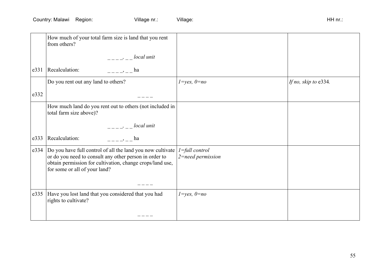|      | How much of your total farm size is land that you rent<br>from others?                                                                                                                                             |                                            |                      |
|------|--------------------------------------------------------------------------------------------------------------------------------------------------------------------------------------------------------------------|--------------------------------------------|----------------------|
|      | $--- - - -$ local unit                                                                                                                                                                                             |                                            |                      |
| e331 | Recalculation:<br>$-- \rightarrow$ $---$ ha                                                                                                                                                                        |                                            |                      |
|      | Do you rent out any land to others?                                                                                                                                                                                | $1 = yes, 0 = no$                          | If no, skip to e334. |
| e332 |                                                                                                                                                                                                                    |                                            |                      |
|      | How much land do you rent out to others (not included in<br>total farm size above)?                                                                                                                                |                                            |                      |
|      | $-- ---$ local unit                                                                                                                                                                                                |                                            |                      |
| e333 | Recalculation:<br>$h$ a                                                                                                                                                                                            |                                            |                      |
| e334 | Do you have full control of all the land you now cultivate<br>or do you need to consult any other person in order to<br>obtain permission for cultivation, change crops/land use,<br>for some or all of your land? | $1 = full control$<br>$2$ =need permission |                      |
| e335 | Have you lost land that you considered that you had<br>rights to cultivate?                                                                                                                                        | $1 = yes, 0 = no$                          |                      |
|      |                                                                                                                                                                                                                    |                                            |                      |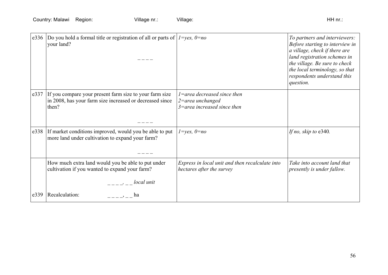|      | e336  Do you hold a formal title or registration of all or parts of $I = yes$ , $0 = no$<br>your land?                            |                                                                                         | To partners and interviewers:<br>Before starting to interview in<br>a village, check if there are<br>land registration schemes in<br>the village. Be sure to check<br>the local terminology, so that<br>respondents understand this<br>question. |
|------|-----------------------------------------------------------------------------------------------------------------------------------|-----------------------------------------------------------------------------------------|--------------------------------------------------------------------------------------------------------------------------------------------------------------------------------------------------------------------------------------------------|
|      | e337 If you compare your present farm size to your farm size<br>in 2008, has your farm size increased or decreased since<br>then? | $1$ =area decreased since then<br>$2$ =area unchanged<br>$3$ =area increased since then |                                                                                                                                                                                                                                                  |
| e338 | If market conditions improved, would you be able to put<br>more land under cultivation to expand your farm?                       | $1 = yes, 0 = no$                                                                       | If no, skip to e340.                                                                                                                                                                                                                             |
|      | How much extra land would you be able to put under<br>cultivation if you wanted to expand your farm?                              | Express in local unit and then recalculate into<br>hectares after the survey            | Take into account land that<br>presently is under fallow.                                                                                                                                                                                        |
| e339 | $-- ---$ local unit<br>Recalculation:<br>ha                                                                                       |                                                                                         |                                                                                                                                                                                                                                                  |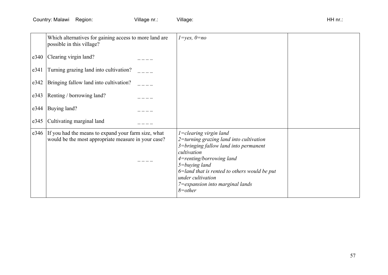|      | Which alternatives for gaining access to more land are<br>possible in this village?                        | $1 = yes, 0 = no$                                                                                                                                                                                                                                                                                        |  |
|------|------------------------------------------------------------------------------------------------------------|----------------------------------------------------------------------------------------------------------------------------------------------------------------------------------------------------------------------------------------------------------------------------------------------------------|--|
| e340 | Clearing virgin land?                                                                                      |                                                                                                                                                                                                                                                                                                          |  |
| e341 | Turning grazing land into cultivation?                                                                     |                                                                                                                                                                                                                                                                                                          |  |
| e342 | Bringing fallow land into cultivation?                                                                     |                                                                                                                                                                                                                                                                                                          |  |
| e343 | Renting / borrowing land?                                                                                  |                                                                                                                                                                                                                                                                                                          |  |
| e344 | Buying land?                                                                                               |                                                                                                                                                                                                                                                                                                          |  |
| e345 | Cultivating marginal land                                                                                  |                                                                                                                                                                                                                                                                                                          |  |
| e346 | If you had the means to expand your farm size, what<br>would be the most appropriate measure in your case? | $1$ =clearing virgin land<br>2=turning grazing land into cultivation<br>3=bringing fallow land into permanent<br>cultivation<br>4=renting/borrowing land<br>$5 = b$ uying land<br>$6$ =land that is rented to others would be put<br>under cultivation<br>7=expansion into marginal lands<br>$8 = other$ |  |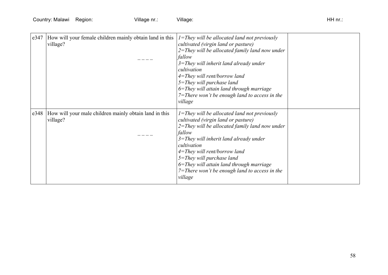| e347 | How will your female children mainly obtain land in this<br>village? | $I =$ They will be allocated land not previously<br>cultivated (virgin land or pasture)<br>$2$ =They will be allocated family land now under<br>fallow<br>$3$ =They will inherit land already under<br>cultivation<br>$4 = They$ will rent/borrow land<br>$5 = They$ will purchase land<br>$6 =$ They will attain land through marriage<br>$7 =$ There won't be enough land to access in the<br>village |  |
|------|----------------------------------------------------------------------|---------------------------------------------------------------------------------------------------------------------------------------------------------------------------------------------------------------------------------------------------------------------------------------------------------------------------------------------------------------------------------------------------------|--|
| e348 | How will your male children mainly obtain land in this<br>village?   | $I =$ They will be allocated land not previously<br>cultivated (virgin land or pasture)<br>$2$ =They will be allocated family land now under<br>fallow<br>$3$ =They will inherit land already under<br>cultivation<br>$4 =$ They will rent/borrow land<br>$5 =$ They will purchase land<br>6=They will attain land through marriage<br>$7 =$ There won't be enough land to access in the<br>village     |  |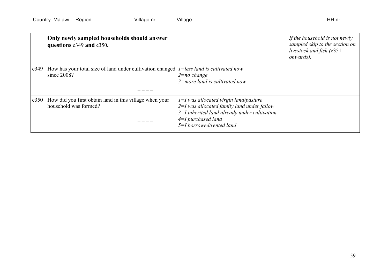|      | Only newly sampled households should answer<br>questions e349 and e350.                                         |                                                                                                                                                                                                   | If the household is not newly<br>sampled skip to the section on<br>livestock and fish (e351<br><i>onwards</i> ). |
|------|-----------------------------------------------------------------------------------------------------------------|---------------------------------------------------------------------------------------------------------------------------------------------------------------------------------------------------|------------------------------------------------------------------------------------------------------------------|
| e349 | How has your total size of land under cultivation changed $ l =$ less land is cultivated now<br>$\sin$ ce 2008? | $2 = no$ change<br>$3$ =more land is cultivated now                                                                                                                                               |                                                                                                                  |
| e350 | How did you first obtain land in this village when your<br>household was formed?                                | $1=I$ was allocated virgin land/pasture<br>$2=I$ was allocated family land under fallow<br>$3=I$ inherited land already under cultivation<br>$4=I$ purchased land<br>$5 = I$ borrowed/rented land |                                                                                                                  |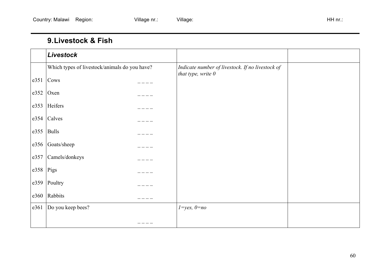### **9.Livestock & Fish**

|      | Livestock                                     |                                                                          |  |
|------|-----------------------------------------------|--------------------------------------------------------------------------|--|
|      | Which types of livestock/animals do you have? | Indicate number of livestock. If no livestock of<br>that type, write $0$ |  |
| e351 | Cows                                          |                                                                          |  |
| e352 | Oxen                                          |                                                                          |  |
| e353 | Heifers                                       |                                                                          |  |
|      | $e354$ Calves                                 |                                                                          |  |
| e355 | <b>Bulls</b>                                  |                                                                          |  |
| e356 | Goats/sheep                                   |                                                                          |  |
| e357 | Camels/donkeys                                |                                                                          |  |
| e358 | Pigs                                          |                                                                          |  |
| e359 | Poultry                                       |                                                                          |  |
| e360 | Rabbits                                       |                                                                          |  |
| e361 | Do you keep bees?                             | $1 = yes, 0 = no$                                                        |  |
|      |                                               |                                                                          |  |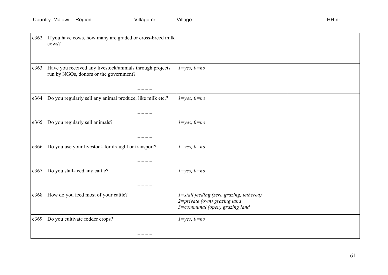| e362 | If you have cows, how many are graded or cross-breed milk<br>cows?                                 |                                                                                                            |  |
|------|----------------------------------------------------------------------------------------------------|------------------------------------------------------------------------------------------------------------|--|
|      |                                                                                                    |                                                                                                            |  |
| e363 | Have you received any livestock/animals through projects<br>run by NGOs, donors or the government? | $1 = yes, 0 = no$                                                                                          |  |
| e364 | Do you regularly sell any animal produce, like milk etc.?                                          | $1 = yes, 0 = no$                                                                                          |  |
|      |                                                                                                    |                                                                                                            |  |
| e365 | Do you regularly sell animals?                                                                     | $1 = yes, 0 = no$                                                                                          |  |
|      |                                                                                                    |                                                                                                            |  |
| e366 | Do you use your livestock for draught or transport?                                                | $1 = yes, 0 = no$                                                                                          |  |
| e367 | Do you stall-feed any cattle?                                                                      | $1 = yes, 0 = no$                                                                                          |  |
|      |                                                                                                    |                                                                                                            |  |
| e368 | How do you feed most of your cattle?                                                               | 1=stall feeding (zero grazing, tethered)<br>2=private (own) grazing land<br>3=communal (open) grazing land |  |
| e369 | Do you cultivate fodder crops?                                                                     | $1 = yes, 0 = no$                                                                                          |  |
|      |                                                                                                    |                                                                                                            |  |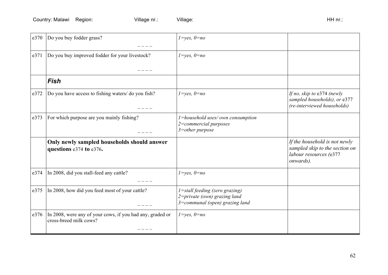| e370 | Do you buy fodder grass?                                                            | $1 = yes, 0 = no$                                                                                        |                                                                                                        |
|------|-------------------------------------------------------------------------------------|----------------------------------------------------------------------------------------------------------|--------------------------------------------------------------------------------------------------------|
|      |                                                                                     |                                                                                                          |                                                                                                        |
| e371 | Do you buy improved fodder for your livestock?                                      | $1 = yes, 0 = no$                                                                                        |                                                                                                        |
|      |                                                                                     |                                                                                                          |                                                                                                        |
|      | <b>Fish</b>                                                                         |                                                                                                          |                                                                                                        |
| e372 | Do you have access to fishing waters/ do you fish?                                  | $1 = yes, 0 = no$                                                                                        | If no, skip to $e374$ (newly<br>sampled households), or e377<br>(re-interviewed households)            |
| e373 | For which purpose are you mainly fishing?                                           | 1=household uses/own consumption<br>2=commercial purposes<br>$3$ =other purpose                          |                                                                                                        |
|      | Only newly sampled households should answer<br>questions e374 to e376.              |                                                                                                          | If the household is not newly<br>sampled skip to the section on<br>labour resources (e377<br>onwards). |
| e374 | In 2008, did you stall-feed any cattle?                                             | $1 = yes, 0 = no$                                                                                        |                                                                                                        |
| e375 | In 2008, how did you feed most of your cattle?                                      | $1 =$ stall feeding (zero grazing)<br>$2 = private (own)$ grazing land<br>3=communal (open) grazing land |                                                                                                        |
| e376 | In 2008, were any of your cows, if you had any, graded or<br>cross-breed milk cows? | $1 = yes, 0 = no$                                                                                        |                                                                                                        |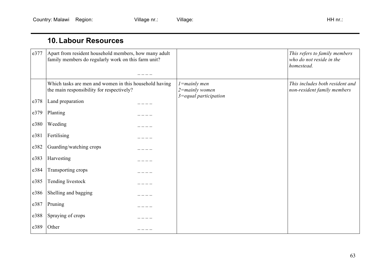### **10. Labour Resources**

| e377 | Apart from resident household members, how many adult<br>family members do regularly work on this farm unit? |  |                                        | This refers to family members<br>who do not reside in the<br>homestead. |
|------|--------------------------------------------------------------------------------------------------------------|--|----------------------------------------|-------------------------------------------------------------------------|
|      | Which tasks are men and women in this household having<br>the main responsibility for respectively?          |  | $1 =$ mainly men<br>$2 =$ mainly women | This includes both resident and<br>non-resident family members          |
| e378 | Land preparation                                                                                             |  | $3 =$ equal participation              |                                                                         |
| e379 | Planting                                                                                                     |  |                                        |                                                                         |
| e380 | Weeding                                                                                                      |  |                                        |                                                                         |
| e381 | Fertilising                                                                                                  |  |                                        |                                                                         |
| e382 | Guarding/watching crops                                                                                      |  |                                        |                                                                         |
| e383 | Harvesting                                                                                                   |  |                                        |                                                                         |
| e384 | Transporting crops                                                                                           |  |                                        |                                                                         |
| e385 | Tending livestock                                                                                            |  |                                        |                                                                         |
| e386 | Shelling and bagging                                                                                         |  |                                        |                                                                         |
| e387 | Pruning                                                                                                      |  |                                        |                                                                         |
| e388 | Spraying of crops                                                                                            |  |                                        |                                                                         |
| e389 | Other                                                                                                        |  |                                        |                                                                         |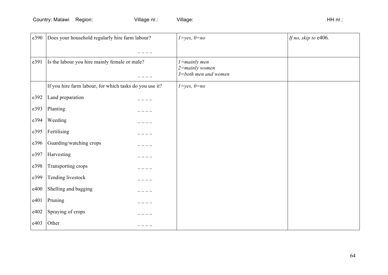| e390 | Does your household regularly hire farm labour?         | $1 = yes, 0 = no$                     | If no, skip to e406. |
|------|---------------------------------------------------------|---------------------------------------|----------------------|
|      |                                                         |                                       |                      |
| e391 | Is the labour you hire mainly female or male?           | $1$ =mainly men<br>$2 =$ mainly women |                      |
|      |                                                         | $3 = both$ men and women              |                      |
|      | If you hire farm labour, for which tasks do you use it? | $1 = yes, 0 = no$                     |                      |
| e392 | Land preparation                                        |                                       |                      |
| e393 | Planting                                                |                                       |                      |
| e394 | Weeding                                                 |                                       |                      |
| e395 | Fertilising                                             |                                       |                      |
| e396 | Guarding/watching crops                                 |                                       |                      |
| e397 | Harvesting                                              |                                       |                      |
| e398 | Transporting crops                                      |                                       |                      |
| e399 | Tending livestock                                       |                                       |                      |
| e400 | Shelling and bagging                                    |                                       |                      |
| e401 | Pruning                                                 |                                       |                      |
| e402 | Spraying of crops                                       |                                       |                      |
| e403 | Other                                                   |                                       |                      |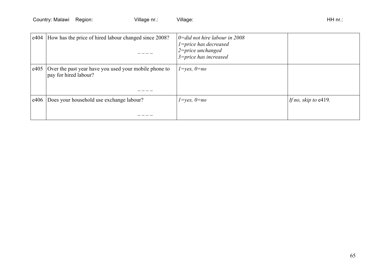| e404 | How has the price of hired labour changed since 2008?                          | $0 = did$ not hire labour in 2008<br>1=price has decreased<br>$2$ =price unchanged<br>$3 = price$ has increased |                         |
|------|--------------------------------------------------------------------------------|-----------------------------------------------------------------------------------------------------------------|-------------------------|
| e405 | Over the past year have you used your mobile phone to<br>pay for hired labour? | $l = yes, 0 = no$                                                                                               |                         |
| e406 | Does your household use exchange labour?                                       | $l = yes, 0 = no$                                                                                               | If no, skip to $e419$ . |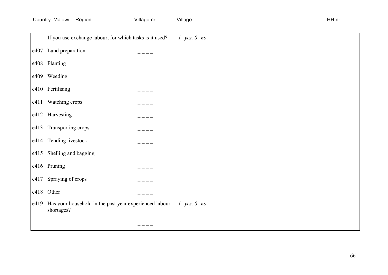|      | If you use exchange labour, for which tasks is it used?              | $1 = yes, 0 = no$ |  |
|------|----------------------------------------------------------------------|-------------------|--|
| e407 | Land preparation                                                     |                   |  |
| e408 | Planting                                                             |                   |  |
| e409 | Weeding                                                              |                   |  |
| e410 | Fertilising                                                          |                   |  |
| e411 | Watching crops                                                       |                   |  |
| e412 | Harvesting                                                           |                   |  |
| e413 | Transporting crops                                                   |                   |  |
| e414 | Tending livestock                                                    |                   |  |
| e415 | Shelling and bagging                                                 |                   |  |
| e416 | Pruning                                                              |                   |  |
| e417 | Spraying of crops                                                    |                   |  |
| e418 | Other                                                                |                   |  |
| e419 | Has your household in the past year experienced labour<br>shortages? | $1 = yes, 0 = no$ |  |
|      |                                                                      |                   |  |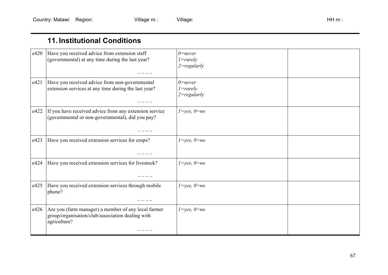### **11. Institutional Conditions**

| e420 | Have you received advice from extension staff<br>(governmental) at any time during the last year?                       | $0$ =never<br>$1 = rarely$<br>$2 = regularly$ |  |
|------|-------------------------------------------------------------------------------------------------------------------------|-----------------------------------------------|--|
| e421 | Have you received advice from non-governmental<br>extension services at any time during the last year?                  | $0$ =never<br>$1 = rarely$<br>$2 = regularly$ |  |
| e422 | If you have received advice from any extension service<br>(governmental or non-governmental), did you pay?              | $1 = yes, 0 = no$                             |  |
| e423 | Have you received extension services for crops?                                                                         | $1 = yes, 0 = no$                             |  |
| e424 | Have you received extension services for livestock?                                                                     | $1 = yes, 0 = no$                             |  |
| e425 | Have you received extension services through mobile<br>phone?                                                           | $1 = yes, 0 = no$                             |  |
| e426 | Are you (farm manager) a member of any local farmer<br>group/organisation/club/association dealing with<br>agriculture? | $1 = yes, 0 = no$                             |  |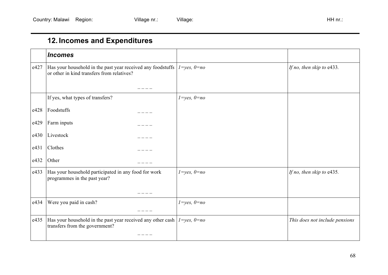# **12. Incomes and Expenditures**

|      | <b>Incomes</b>                                                                                                               |                   |                                |
|------|------------------------------------------------------------------------------------------------------------------------------|-------------------|--------------------------------|
| e427 | Has your household in the past year received any foodstuffs $ 1 = yes, 0 = no$<br>or other in kind transfers from relatives? |                   | If no, then skip to e433.      |
|      |                                                                                                                              |                   |                                |
|      | If yes, what types of transfers?                                                                                             | $1 = yes, 0 = no$ |                                |
| e428 | Foodstuffs                                                                                                                   |                   |                                |
| e429 | Farm inputs                                                                                                                  |                   |                                |
| e430 | Livestock                                                                                                                    |                   |                                |
| e431 | Clothes                                                                                                                      |                   |                                |
| e432 | Other                                                                                                                        |                   |                                |
| e433 | Has your household participated in any food for work<br>programmes in the past year?                                         | $1 = yes, 0 = no$ | If no, then skip to e435.      |
|      |                                                                                                                              |                   |                                |
| e434 | Were you paid in cash?                                                                                                       | $1 = yes, 0 = no$ |                                |
| e435 | Has your household in the past year received any other cash $ 1 = yes, 0 = no$<br>transfers from the government?             |                   | This does not include pensions |
|      |                                                                                                                              |                   |                                |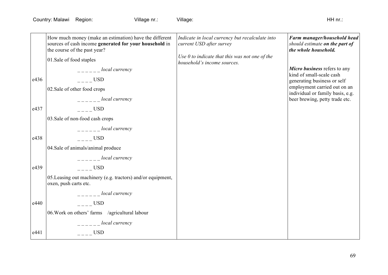|      | How much money (make an estimation) have the different<br>sources of cash income generated for your household in<br>the course of the past year? | Indicate in local currency but recalculate into<br>current USD after survey     | Farm manager/household head<br>should estimate on the part of<br>the whole household. |
|------|--------------------------------------------------------------------------------------------------------------------------------------------------|---------------------------------------------------------------------------------|---------------------------------------------------------------------------------------|
|      | 01.Sale of food staples                                                                                                                          | Use $0$ to indicate that this was not one of the<br>household's income sources. |                                                                                       |
|      | _____ <i>local currency</i>                                                                                                                      |                                                                                 | Micro business refers to any<br>kind of small-scale cash                              |
| e436 | USD                                                                                                                                              |                                                                                 | generating business or self                                                           |
|      | 02. Sale of other food crops                                                                                                                     |                                                                                 | employment carried out on an<br>individual or family basis, e.g.                      |
|      | $-- local$ currency                                                                                                                              |                                                                                 | beer brewing, petty trade etc.                                                        |
| e437 | $---$ USD                                                                                                                                        |                                                                                 |                                                                                       |
|      | 03. Sale of non-food cash crops                                                                                                                  |                                                                                 |                                                                                       |
|      | $-- local$ currency                                                                                                                              |                                                                                 |                                                                                       |
| e438 | $---$ USD                                                                                                                                        |                                                                                 |                                                                                       |
|      | 04.Sale of animals/animal produce                                                                                                                |                                                                                 |                                                                                       |
|      | local currency                                                                                                                                   |                                                                                 |                                                                                       |
| e439 | $\overline{\phantom{a} - \phantom{a}}$ USD                                                                                                       |                                                                                 |                                                                                       |
|      | 05. Leasing out machinery (e.g. tractors) and/or equipment,<br>oxen, push carts etc.                                                             |                                                                                 |                                                                                       |
|      | $-- local$ currency                                                                                                                              |                                                                                 |                                                                                       |
| e440 | $---$ USD                                                                                                                                        |                                                                                 |                                                                                       |
|      | 06. Work on others' farms /agricultural labour                                                                                                   |                                                                                 |                                                                                       |
|      | $-- local$ currency                                                                                                                              |                                                                                 |                                                                                       |
| e441 | $---$ USD                                                                                                                                        |                                                                                 |                                                                                       |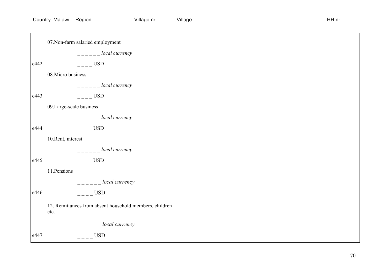|      | 07. Non-farm salaried employment                                |
|------|-----------------------------------------------------------------|
|      | $-- local$ currency                                             |
| e442 | $---$ USD                                                       |
|      | 08. Micro business                                              |
|      | $-- local$ currency                                             |
| e443 | $---$ USD                                                       |
|      | 09.Large-scale business                                         |
|      | $-- local$ currency                                             |
| e444 | $---$ USD                                                       |
|      | 10. Rent, interest                                              |
|      | $-- local$ currency                                             |
| e445 | $---$ USD                                                       |
|      | 11. Pensions                                                    |
|      | $-- local$ currency                                             |
| e446 | $---$ USD                                                       |
|      | 12. Remittances from absent household members, children<br>etc. |
|      | $-- local$ currency                                             |
| e447 | $---$ USD                                                       |
|      |                                                                 |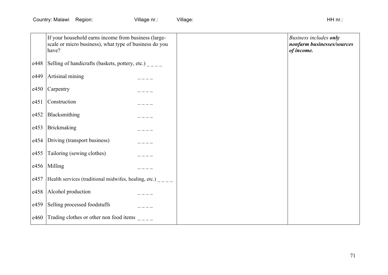|      | If your household earns income from business (large-<br>scale or micro business), what type of business do you<br>have? |  | Business includes only<br>nonfarm businesses/sources<br>of income. |
|------|-------------------------------------------------------------------------------------------------------------------------|--|--------------------------------------------------------------------|
| e448 | Selling of handicrafts (baskets, pottery, etc.) ____                                                                    |  |                                                                    |
| e449 | Artisinal mining                                                                                                        |  |                                                                    |
| e450 | Carpentry                                                                                                               |  |                                                                    |
| e451 | Construction                                                                                                            |  |                                                                    |
| e452 | Blacksmithing                                                                                                           |  |                                                                    |
| e453 | Brickmaking                                                                                                             |  |                                                                    |
| e454 | Driving (transport business)                                                                                            |  |                                                                    |
| e455 | Tailoring (sewing clothes)                                                                                              |  |                                                                    |
| e456 | Milling                                                                                                                 |  |                                                                    |
| e457 | Health services (traditional midwifes, healing, etc.) $\frac{1}{1}$                                                     |  |                                                                    |
| e458 | Alcohol production                                                                                                      |  |                                                                    |
| e459 | Selling processed foodstuffs                                                                                            |  |                                                                    |
| e460 | Trading clothes or other non food items $\frac{1}{2}$                                                                   |  |                                                                    |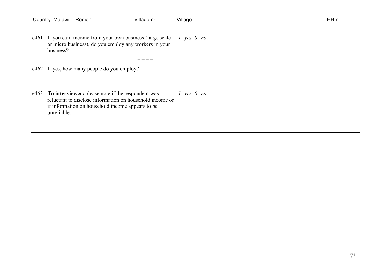| e461 | If you earn income from your own business (large scale<br>or micro business), do you employ any workers in your<br>business?                                                     | $1 = yes, 0 = no$ |  |
|------|----------------------------------------------------------------------------------------------------------------------------------------------------------------------------------|-------------------|--|
|      | e462 If yes, how many people do you employ?                                                                                                                                      |                   |  |
| e463 | To interviewer: please note if the respondent was<br>reluctant to disclose information on household income or<br>if information on household income appears to be<br>unreliable. | $1 = yes, 0 = no$ |  |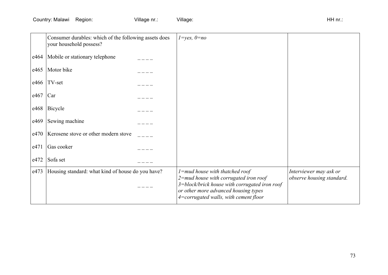Country: Malawi Region: Village nr.: Village: Village: Village: HH nr.: HH nr.:

|      | Consumer durables: which of the following assets does<br>your household possess? | $1 = yes, 0 = no$                                                                                                                                                          |                           |
|------|----------------------------------------------------------------------------------|----------------------------------------------------------------------------------------------------------------------------------------------------------------------------|---------------------------|
| e464 | Mobile or stationary telephone                                                   |                                                                                                                                                                            |                           |
| e465 | Motor bike                                                                       |                                                                                                                                                                            |                           |
| e466 | TV-set                                                                           |                                                                                                                                                                            |                           |
| e467 | Car                                                                              |                                                                                                                                                                            |                           |
| e468 | Bicycle                                                                          |                                                                                                                                                                            |                           |
| e469 | Sewing machine                                                                   |                                                                                                                                                                            |                           |
| e470 | Kerosene stove or other modern stove                                             |                                                                                                                                                                            |                           |
| e471 | Gas cooker                                                                       |                                                                                                                                                                            |                           |
| e472 | Sofa set                                                                         |                                                                                                                                                                            |                           |
| e473 | Housing standard: what kind of house do you have?                                | $1$ =mud house with thatched roof                                                                                                                                          | Interviewer may ask or    |
|      |                                                                                  | $2$ =mud house with corrugated iron roof<br>3=block/brick house with corrugated iron roof<br>or other more advanced housing types<br>4=corrugated walls, with cement floor | observe housing standard. |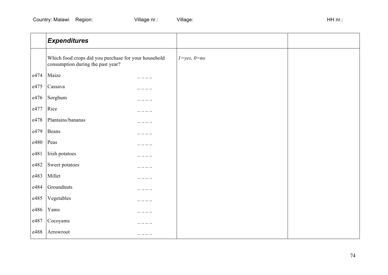|      | <b>Expenditures</b>                                                                       |                   |  |
|------|-------------------------------------------------------------------------------------------|-------------------|--|
|      | Which food crops did you purchase for your household<br>consumption during the past year? | $1 = yes, 0 = no$ |  |
| e474 | Maize                                                                                     |                   |  |
| e475 | Cassava                                                                                   |                   |  |
| e476 | Sorghum                                                                                   |                   |  |
| e477 | Rice                                                                                      |                   |  |
| e478 | Plantains/bananas                                                                         |                   |  |
| e479 | Beans                                                                                     |                   |  |
| e480 | Peas                                                                                      |                   |  |
| e481 | Irish potatoes                                                                            |                   |  |
| e482 | Sweet potatoes                                                                            |                   |  |
| e483 | Millet                                                                                    |                   |  |
| e484 | Groundnuts                                                                                |                   |  |
| e485 | Vegetables                                                                                |                   |  |
| e486 | Yams                                                                                      |                   |  |
| e487 | Cocoyams                                                                                  |                   |  |
| e488 | Arrowroot                                                                                 |                   |  |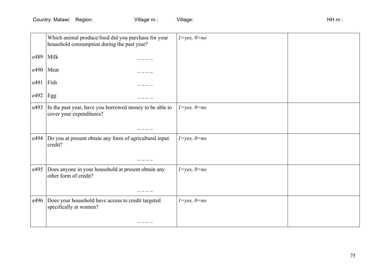|      | Which animal produce/food did you purchase for your<br>household consumption during the past year? | $1 = yes, 0 = no$ |  |
|------|----------------------------------------------------------------------------------------------------|-------------------|--|
| e489 | Milk                                                                                               |                   |  |
| e490 | Meat                                                                                               |                   |  |
| e491 | Fish                                                                                               |                   |  |
| e492 | Egg                                                                                                |                   |  |
| e493 | In the past year, have you borrowed money to be able to<br>cover your expenditures?                | $1 = yes, 0 = no$ |  |
|      |                                                                                                    |                   |  |
| e494 | Do you at present obtain any form of agricultural input<br>credit?                                 | $1 = yes, 0 = no$ |  |
|      |                                                                                                    |                   |  |
| e495 | Does anyone in your household at present obtain any<br>other form of credit?                       | $1 = yes, 0 = no$ |  |
| e496 | Does your household have access to credit targeted<br>specifically at women?                       | $1 = yes, 0 = no$ |  |
|      |                                                                                                    |                   |  |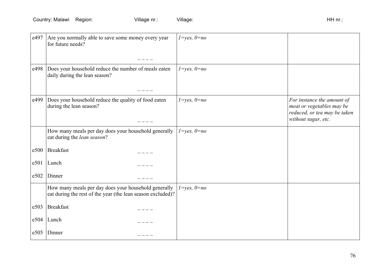Country: Malawi Region: Village nr.: Village: Village: Village: HH nr.: HH nr.:

| e497 | Are you normally able to save some money every year<br>for future needs?                                            | $1 = yes, 0 = no$ |                                                                                                                |
|------|---------------------------------------------------------------------------------------------------------------------|-------------------|----------------------------------------------------------------------------------------------------------------|
| e498 | Does your household reduce the number of meals eaten<br>daily during the lean season?                               | $1 = yes, 0 = no$ |                                                                                                                |
| e499 | Does your household reduce the quality of food eaten<br>during the lean season?                                     | $1 = yes, 0 = no$ | For instance the amount of<br>meat or vegetables may be<br>reduced, or tea may be taken<br>without sugar, etc. |
|      | How many meals per day does your household generally<br>eat during the lean season?                                 | $1 = yes, 0 = no$ |                                                                                                                |
| e500 | <b>Breakfast</b>                                                                                                    |                   |                                                                                                                |
| e501 | Lunch                                                                                                               |                   |                                                                                                                |
| e502 | Dinner                                                                                                              |                   |                                                                                                                |
|      | How many meals per day does your household generally<br>eat during the rest of the year (the lean season excluded)? | $1 = yes, 0 = no$ |                                                                                                                |
| e503 | Breakfast                                                                                                           |                   |                                                                                                                |
| e504 | Lunch                                                                                                               |                   |                                                                                                                |
| e505 | Dinner                                                                                                              |                   |                                                                                                                |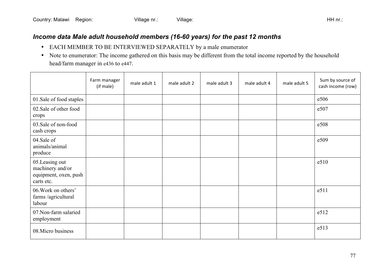## *Income data Male adult household members (16-60 years) for the past 12 months*

- EACH MEMBER TO BE INTERVIEWED SEPARATELY by a male enumerator
- Note to enumerator: The income gathered on this basis may be different from the total income reported by the household head/farm manager in e436 to e447.

|                                                                           | Farm manager<br>(if male) | male adult 1 | male adult 2 | male adult 3 | male adult 4 | male adult 5 | Sum by source of<br>cash income (row) |
|---------------------------------------------------------------------------|---------------------------|--------------|--------------|--------------|--------------|--------------|---------------------------------------|
| 01.Sale of food staples                                                   |                           |              |              |              |              |              | e506                                  |
| 02. Sale of other food<br>crops                                           |                           |              |              |              |              |              | e507                                  |
| 03. Sale of non-food<br>cash crops                                        |                           |              |              |              |              |              | e508                                  |
| 04.Sale of<br>animals/animal<br>produce                                   |                           |              |              |              |              |              | e509                                  |
| 05.Leasing out<br>machinery and/or<br>equipment, oxen, push<br>carts etc. |                           |              |              |              |              |              | e510                                  |
| 06. Work on others'<br>farms /agricultural<br>labour                      |                           |              |              |              |              |              | e511                                  |
| 07. Non-farm salaried<br>employment                                       |                           |              |              |              |              |              | e512                                  |
| 08. Micro business                                                        |                           |              |              |              |              |              | e513                                  |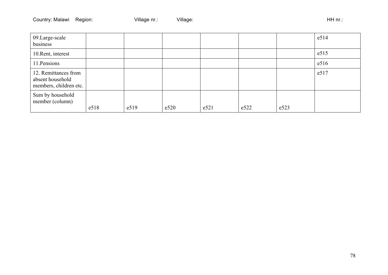| 09.Large-scale<br>business                                         |      |      |      |      |      |      | e514 |
|--------------------------------------------------------------------|------|------|------|------|------|------|------|
| 10. Rent, interest                                                 |      |      |      |      |      |      | e515 |
| 11. Pensions                                                       |      |      |      |      |      |      | e516 |
| 12. Remittances from<br>absent household<br>members, children etc. |      |      |      |      |      |      | e517 |
| Sum by household<br>member (column)                                | e518 | e519 | e520 | e521 | e522 | e523 |      |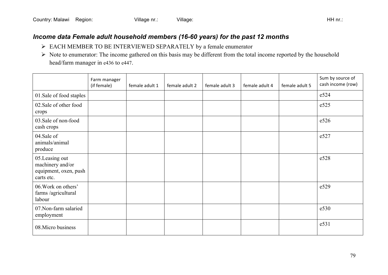## *Income data Female adult household members (16-60 years) for the past 12 months*

- EACH MEMBER TO BE INTERVIEWED SEPARATELY by a female enumerator
- $\triangleright$  Note to enumerator: The income gathered on this basis may be different from the total income reported by the household head/farm manager in e436 to e447.

|                                                                           | Farm manager<br>(if female) | female adult 1 | female adult 2 | female adult 3 | female adult 4 | female adult 5 | Sum by source of<br>cash income (row) |
|---------------------------------------------------------------------------|-----------------------------|----------------|----------------|----------------|----------------|----------------|---------------------------------------|
| 01.Sale of food staples                                                   |                             |                |                |                |                |                | e524                                  |
| 02. Sale of other food<br>crops                                           |                             |                |                |                |                |                | e525                                  |
| 03. Sale of non-food<br>cash crops                                        |                             |                |                |                |                |                | e526                                  |
| 04.Sale of<br>animals/animal<br>produce                                   |                             |                |                |                |                |                | e527                                  |
| 05.Leasing out<br>machinery and/or<br>equipment, oxen, push<br>carts etc. |                             |                |                |                |                |                | e528                                  |
| 06. Work on others'<br>farms /agricultural<br>labour                      |                             |                |                |                |                |                | e529                                  |
| 07. Non-farm salaried<br>employment                                       |                             |                |                |                |                |                | e530                                  |
| 08. Micro business                                                        |                             |                |                |                |                |                | e531                                  |